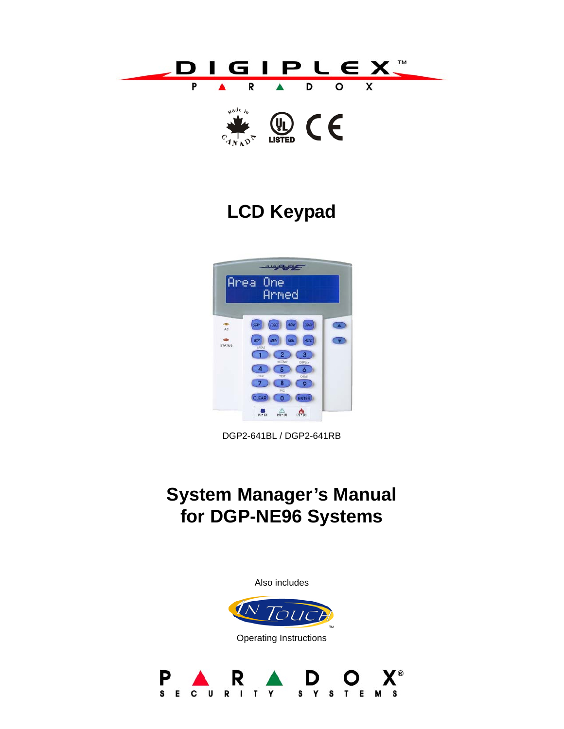



# **LCD Keypad**



DGP2-641BL / DGP2-641RB

# **System Manager's Manual for DGP-NE96 Systems**

Also includes



Operating Instructions

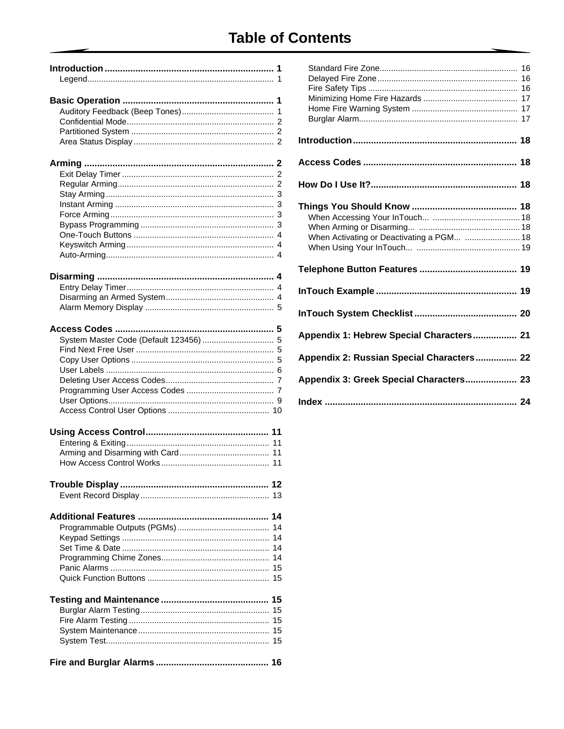# **Table of Contents**

| System Master Code (Default 123456)  5 |  |
|----------------------------------------|--|
|                                        |  |
|                                        |  |
|                                        |  |
|                                        |  |
|                                        |  |
|                                        |  |
|                                        |  |
|                                        |  |
| 11                                     |  |
| 11                                     |  |
|                                        |  |
|                                        |  |
|                                        |  |
|                                        |  |
|                                        |  |
|                                        |  |
| 14                                     |  |
| 14                                     |  |
| 14                                     |  |
| 14                                     |  |
|                                        |  |
|                                        |  |
|                                        |  |
| 15                                     |  |
| 15                                     |  |
| 15                                     |  |
|                                        |  |
|                                        |  |
|                                        |  |

| When Activating or Deactivating a PGM  18 |
|-------------------------------------------|
|                                           |
|                                           |
|                                           |
| Appendix 1: Hebrew Special Characters 21  |
| Appendix 2: Russian Special Characters 22 |
| Appendix 3: Greek Special Characters 23   |
|                                           |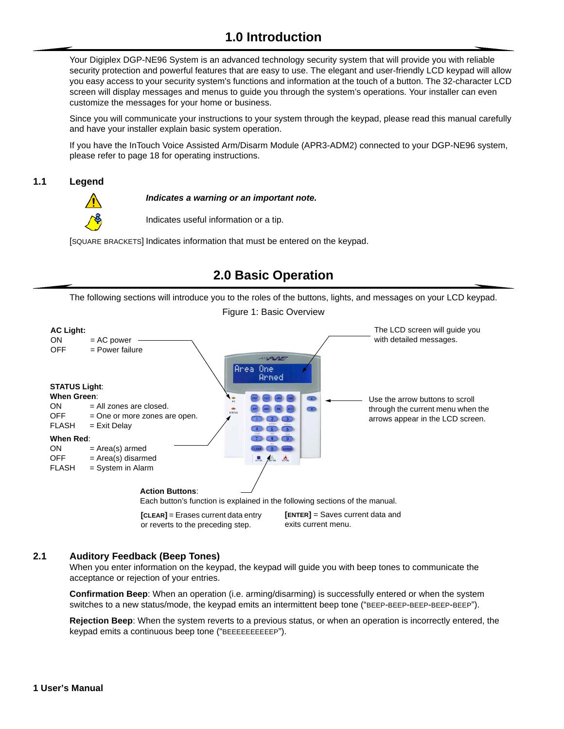# **1.0 Introduction**

<span id="page-3-0"></span>Your Digiplex DGP-NE96 System is an advanced technology security system that will provide you with reliable security protection and powerful features that are easy to use. The elegant and user-friendly LCD keypad will allow you easy access to your security system's functions and information at the touch of a button. The 32-character LCD screen will display messages and menus to guide you through the system's operations. Your installer can even customize the messages for your home or business.

Since you will communicate your instructions to your system through the keypad, please read this manual carefully and have your installer explain basic system operation.

If you have the InTouch Voice Assisted Arm/Disarm Module (APR3-ADM2) connected to your DGP-NE96 system, please refer to [page 18](#page-20-7) for operating instructions.

### <span id="page-3-1"></span>**1.1 Legend**



*Indicates a warning or an important note.*

Indicates useful information or a tip.

[SQUARE BRACKETS] Indicates information that must be entered on the keypad.

# **2.0 Basic Operation**

<span id="page-3-2"></span>The following sections will introduce you to the roles of the buttons, lights, and messages on your LCD keypad.

Figure 1: Basic Overview

<span id="page-3-6"></span>

### <span id="page-3-3"></span>**2.1 Auditory Feedback (Beep Tones)**

When you enter information on the keypad, the keypad will guide you with beep tones to communicate the acceptance or rejection of your entries.

<span id="page-3-4"></span>**Confirmation Beep**: When an operation (i.e. arming/disarming) is successfully entered or when the system switches to a new status/mode, the keypad emits an intermittent beep tone ("BEEP-BEEP-BEEP-BEEP-BEEP").

<span id="page-3-5"></span>**Rejection Beep**: When the system reverts to a previous status, or when an operation is incorrectly entered, the keypad emits a continuous beep tone ("BEEEEEEEEEEP").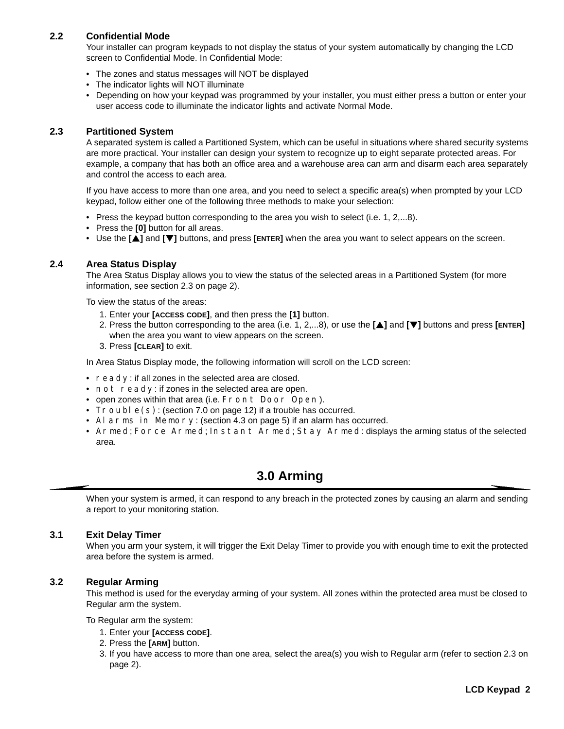# <span id="page-4-0"></span>**2.2 Confidential Mode**

Your installer can program keypads to not display the status of your system automatically by changing the LCD screen to Confidential Mode. In Confidential Mode:

- The zones and status messages will NOT be displayed
- The indicator lights will NOT illuminate
- Depending on how your keypad was programmed by your installer, you must either press a button or enter your user access code to illuminate the indicator lights and activate Normal Mode.

### <span id="page-4-6"></span><span id="page-4-1"></span>**2.3 Partitioned System**

A separated system is called a Partitioned System, which can be useful in situations where shared security systems are more practical. Your installer can design your system to recognize up to eight separate protected areas. For example, a company that has both an office area and a warehouse area can arm and disarm each area separately and control the access to each area.

If you have access to more than one area, and you need to select a specific area(s) when prompted by your LCD keypad, follow either one of the following three methods to make your selection:

- Press the keypad button corresponding to the area you wish to select (i.e. 1, 2,...8).
- Press the **[0]** button for all areas.
- Use the **[**S**]** and **[**T**]** buttons, and press **[ENTER]** when the area you want to select appears on the screen.

### <span id="page-4-2"></span>**2.4 Area Status Display**

The Area Status Display allows you to view the status of the selected areas in a Partitioned System (for more information, see [section 2.3 on page 2\).](#page-4-1)

To view the status of the areas:

- 1. Enter your **[ACCESS CODE]**, and then press the **[1]** button.
- 2. Press the button corresponding to the area (i.e. 1, 2,...8), or use the **[**S**]** and **[**T**]** buttons and press **[ENTER]** when the area you want to view appears on the screen.
- 3. Press **[CLEAR]** to exit.

In Area Status Display mode, the following information will scroll on the LCD screen:

- $r$ eady: if all zones in the selected area are closed.
- not ready: if zones in the selected area are open.
- open zones within that area (i.e. Front Door Open).
- Trouble(s): ([section 7.0 on page 12\)](#page-14-0) if a trouble has occurred.
- Alarms in Memory: ([section 4.3 on page 5\)](#page-7-0) if an alarm has occurred.
- Armed; Force Armed; Instant Armed; Stay Armed: displays the arming status of the selected area.

# **3.0 Arming**

<span id="page-4-3"></span>When your system is armed, it can respond to any breach in the protected zones by causing an alarm and sending a report to your monitoring station.

#### <span id="page-4-4"></span>**3.1 Exit Delay Timer**

When you arm your system, it will trigger the Exit Delay Timer to provide you with enough time to exit the protected area before the system is armed.

### <span id="page-4-5"></span>**3.2 Regular Arming**

This method is used for the everyday arming of your system. All zones within the protected area must be closed to Regular arm the system.

To Regular arm the system:

- 1. Enter your **[ACCESS CODE]**.
- 2. Press the **[ARM]** button.
- 3. If you have access to more than one area, select the area(s) you wish to Regular arm (refer to [section 2.3 on](#page-4-1)  [page 2\)](#page-4-1).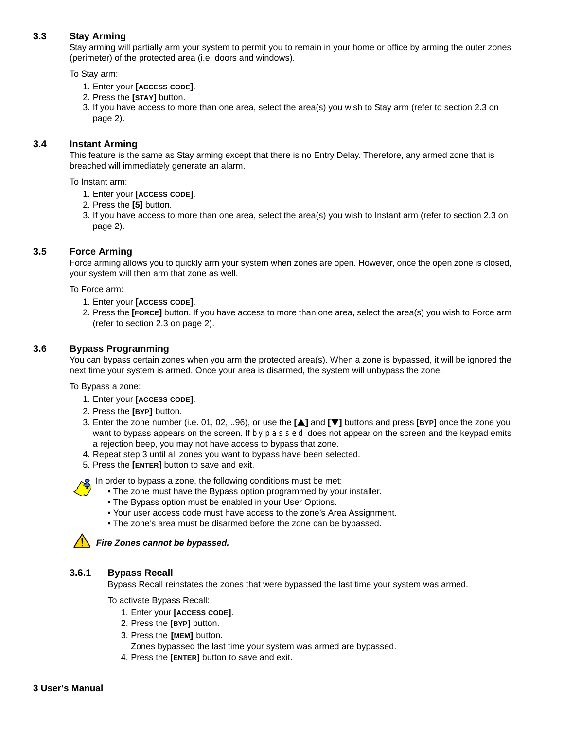# <span id="page-5-0"></span>**3.3 Stay Arming**

Stay arming will partially arm your system to permit you to remain in your home or office by arming the outer zones (perimeter) of the protected area (i.e. doors and windows).

To Stay arm:

- 1. Enter your **[ACCESS CODE]**.
- 2. Press the **[STAY]** button.
- 3. If you have access to more than one area, select the area(s) you wish to Stay arm (refer to [section 2.3 on](#page-4-1)  [page 2\)](#page-4-1).

### <span id="page-5-1"></span>**3.4 Instant Arming**

This feature is the same as Stay arming except that there is no Entry Delay. Therefore, any armed zone that is breached will immediately generate an alarm.

To Instant arm:

- 1. Enter your **[ACCESS CODE]**.
- 2. Press the **[5]** button.
- 3. If you have access to more than one area, select the area(s) you wish to Instant arm (refer to [section 2.3 on](#page-4-1)  [page 2\)](#page-4-1).

### <span id="page-5-2"></span>**3.5 Force Arming**

Force arming allows you to quickly arm your system when zones are open. However, once the open zone is closed, your system will then arm that zone as well.

To Force arm:

- 1. Enter your **[ACCESS CODE]**.
- 2. Press the **[FORCE]** button. If you have access to more than one area, select the area(s) you wish to Force arm (refer to [section 2.3 on page 2](#page-4-1)).

### <span id="page-5-3"></span>**3.6 Bypass Programming**

You can bypass certain zones when you arm the protected area(s). When a zone is bypassed, it will be ignored the next time your system is armed. Once your area is disarmed, the system will unbypass the zone.

To Bypass a zone:

- 1. Enter your **[ACCESS CODE]**.
- 2. Press the **[BYP]** button.
- 3. Enter the zone number (i.e. 01, 02,...96), or use the **[**S**]** and **[**T**]** buttons and press **[BYP]** once the zone you want to bypass appears on the screen. If  $\text{bypassed does not appear on the screen and the keyboard emits}$ a rejection beep, you may not have access to bypass that zone.
- 4. Repeat step 3 until all zones you want to bypass have been selected.
- 5. Press the **[ENTER]** button to save and exit.

In order to bypass a zone, the following conditions must be met:

- The zone must have the Bypass option programmed by your installer.
- The Bypass option must be enabled in your User Options.
- Your user access code must have access to the zone's Area Assignment.
- The zone's area must be disarmed before the zone can be bypassed.

#### *Fire Zones cannot be bypassed.*

#### **3.6.1 Bypass Recall**

Bypass Recall reinstates the zones that were bypassed the last time your system was armed.

To activate Bypass Recall:

- 1. Enter your **[ACCESS CODE]**.
- 2. Press the **[BYP]** button.
- 3. Press the **[MEM]** button.
	- Zones bypassed the last time your system was armed are bypassed.
- 4. Press the **[ENTER]** button to save and exit.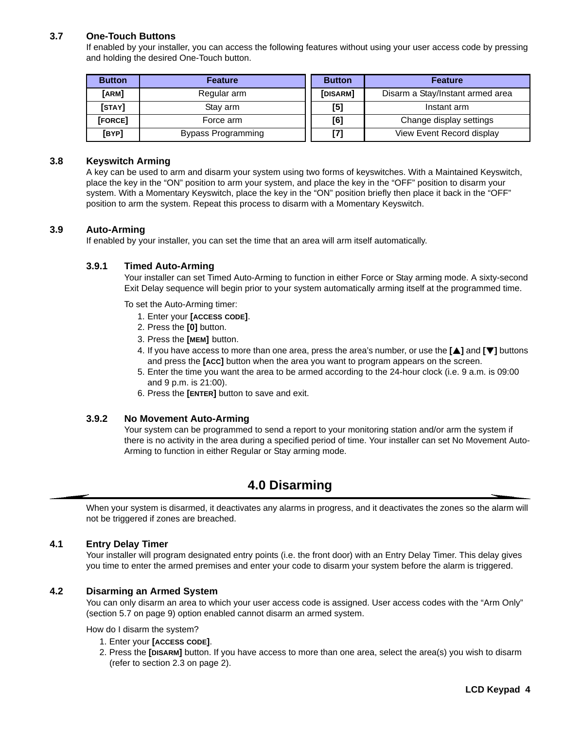# <span id="page-6-0"></span>**3.7 One-Touch Buttons**

If enabled by your installer, you can access the following features without using your user access code by pressing and holding the desired One-Touch button.

| <b>Button</b> | <b>Feature</b>     | <b>Button</b> | <b>Feature</b>                   |
|---------------|--------------------|---------------|----------------------------------|
| [ARM]         | Regular arm        | [DISARM]      | Disarm a Stay/Instant armed area |
| [STAY]        | Stay arm           | [5]           | Instant arm                      |
| [FORCE]       | Force arm          | [6]           | Change display settings          |
| [BYP]         | Bypass Programming | $[7]$         | View Event Record display        |

#### <span id="page-6-1"></span>**3.8 Keyswitch Arming**

A key can be used to arm and disarm your system using two forms of keyswitches. With a Maintained Keyswitch, place the key in the "ON" position to arm your system, and place the key in the "OFF" position to disarm your system. With a Momentary Keyswitch, place the key in the "ON" position briefly then place it back in the "OFF" position to arm the system. Repeat this process to disarm with a Momentary Keyswitch.

### <span id="page-6-7"></span><span id="page-6-2"></span>**3.9 Auto-Arming**

If enabled by your installer, you can set the time that an area will arm itself automatically.

### **3.9.1 Timed Auto-Arming**

Your installer can set Timed Auto-Arming to function in either Force or Stay arming mode. A sixty-second Exit Delay sequence will begin prior to your system automatically arming itself at the programmed time.

To set the Auto-Arming timer:

- 1. Enter your **[ACCESS CODE]**.
- 2. Press the **[0]** button.
- 3. Press the **[MEM]** button.
- 4. If you have access to more than one area, press the area's number, or use the **[**S**]** and **[**T**]** buttons and press the **[ACC]** button when the area you want to program appears on the screen.
- 5. Enter the time you want the area to be armed according to the 24-hour clock (i.e. 9 a.m. is 09:00 and 9 p.m. is 21:00).
- 6. Press the **[ENTER]** button to save and exit.

#### <span id="page-6-6"></span>**3.9.2 No Movement Auto-Arming**

Your system can be programmed to send a report to your monitoring station and/or arm the system if there is no activity in the area during a specified period of time. Your installer can set No Movement Auto-Arming to function in either Regular or Stay arming mode.

# **4.0 Disarming**

<span id="page-6-8"></span><span id="page-6-3"></span>When your system is disarmed, it deactivates any alarms in progress, and it deactivates the zones so the alarm will not be triggered if zones are breached.

#### <span id="page-6-4"></span>**4.1 Entry Delay Timer**

Your installer will program designated entry points (i.e. the front door) with an Entry Delay Timer. This delay gives you time to enter the armed premises and enter your code to disarm your system before the alarm is triggered.

#### <span id="page-6-5"></span>**4.2 Disarming an Armed System**

You can only disarm an area to which your user access code is assigned. User access codes with the "Arm Only" ([section 5.7 on page 9](#page-11-0)) option enabled cannot disarm an armed system.

How do I disarm the system?

- 1. Enter your **[ACCESS CODE]**.
- 2. Press the **[DISARM]** button. If you have access to more than one area, select the area(s) you wish to disarm (refer to [section 2.3 on page 2](#page-4-1)).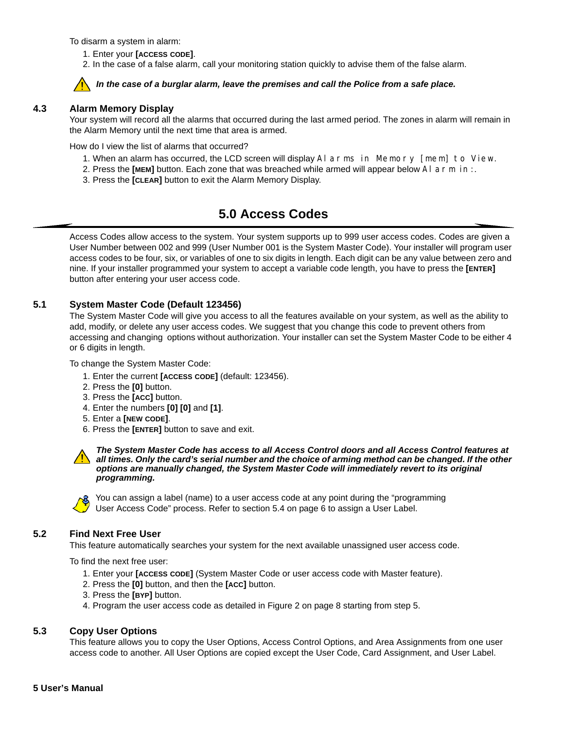To disarm a system in alarm:

- 1. Enter your **[ACCESS CODE]**.
- 2. In the case of a false alarm, call your monitoring station quickly to advise them of the false alarm.

# *In the case of a burglar alarm, leave the premises and call the Police from a safe place.*

### <span id="page-7-0"></span>**4.3 Alarm Memory Display**

Your system will record all the alarms that occurred during the last armed period. The zones in alarm will remain in the Alarm Memory until the next time that area is armed.

How do I view the list of alarms that occurred?

- 1. When an alarm has occurred, the LCD screen will display Alarms in Memory [mem] to View.
- 2. Press the **[MEM]** button. Each zone that was breached while armed will appear below Alarm in:.
- 3. Press the **[CLEAR]** button to exit the Alarm Memory Display.

# **5.0 Access Codes**

<span id="page-7-5"></span><span id="page-7-1"></span>Access Codes allow access to the system. Your system supports up to 999 user access codes. Codes are given a User Number between 002 and 999 (User Number 001 is the System Master Code). Your installer will program user access codes to be four, six, or variables of one to six digits in length. Each digit can be any value between zero and nine. If your installer programmed your system to accept a variable code length, you have to press the **[ENTER]**  button after entering your user access code.

# <span id="page-7-2"></span>**5.1 System Master Code (Default 123456)**

The System Master Code will give you access to all the features available on your system, as well as the ability to add, modify, or delete any user access codes. We suggest that you change this code to prevent others from accessing and changing options without authorization. Your installer can set the System Master Code to be either 4 or 6 digits in length.

To change the System Master Code:

- 1. Enter the current **[ACCESS CODE]** (default: 123456).
- 2. Press the **[0]** button.
- 3. Press the **[ACC]** button.
- 4. Enter the numbers **[0] [0]** and **[1]**.
- 5. Enter a **[NEW CODE]**.
- 6. Press the **[ENTER]** button to save and exit.

*The System Master Code has access to all Access Control doors and all Access Control features at all times. Only the card's serial number and the choice of arming method can be changed. If the other options are manually changed, the System Master Code will immediately revert to its original programming.*



You can assign a label (name) to a user access code at any point during the "programming User Access Code" process. Refer to [section 5.4 on page 6](#page-8-0) to assign a User Label.

# <span id="page-7-3"></span>**5.2 Find Next Free User**

This feature automatically searches your system for the next available unassigned user access code.

To find the next free user:

- 1. Enter your **[ACCESS CODE]** (System Master Code or user access code with Master feature).
- 2. Press the **[0]** button, and then the **[ACC]** button.
- 3. Press the **[BYP]** button.
- 4. Program the user access code as detailed in Figure 2 on page 8 starting from step 5.

# <span id="page-7-4"></span>**5.3 Copy User Options**

This feature allows you to copy the User Options, Access Control Options, and Area Assignments from one user access code to another. All User Options are copied except the User Code, Card Assignment, and User Label.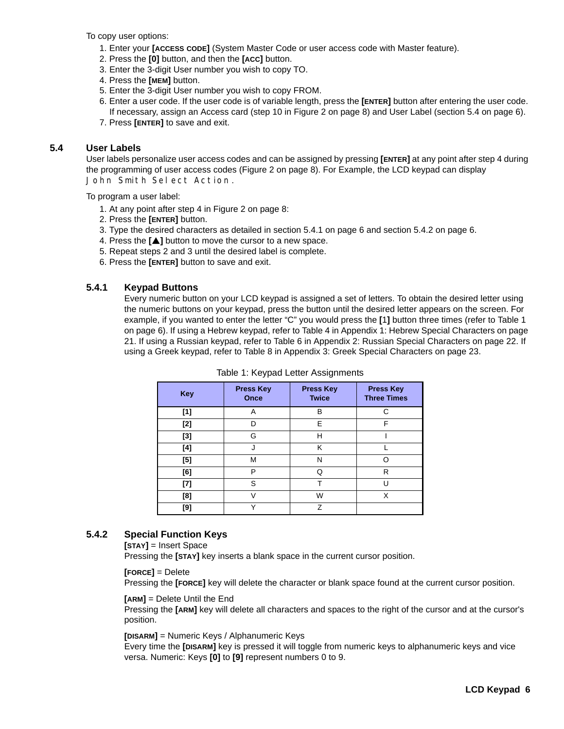To copy user options:

- 1. Enter your **[ACCESS CODE]** (System Master Code or user access code with Master feature).
- 2. Press the **[0]** button, and then the **[ACC]** button.
- 3. Enter the 3-digit User number you wish to copy TO.
- 4. Press the **[MEM]** button.
- 5. Enter the 3-digit User number you wish to copy FROM.
- 6. Enter a user code. If the user code is of variable length, press the **[ENTER]** button after entering the user code. If necessary, assign an Access card (step 10 in Figure 2 on page 8) and User Label ([section 5.4 on page 6](#page-8-0)).
- 7. Press **[ENTER]** to save and exit.

### <span id="page-8-0"></span>**5.4 User Labels**

User labels personalize user access codes and can be assigned by pressing **[ENTER]** at any point after step 4 during the programming of user access codes (Figure 2 on page 8). For Example, the LCD keypad can display John Smith Select Action.

To program a user label:

- 1. At any point after step 4 in Figure 2 on page 8:
- 2. Press the **[ENTER]** button.
- 3. Type the desired characters as detailed in [section 5.4.1 on page 6](#page-8-1) and [section 5.4.2 on page 6](#page-8-3).
- 4. Press the **[A]** button to move the cursor to a new space.
- 5. Repeat steps 2 and 3 until the desired label is complete.
- 6. Press the **[ENTER]** button to save and exit.

# <span id="page-8-2"></span><span id="page-8-1"></span>**5.4.1 Keypad Buttons**

Every numeric button on your LCD keypad is assigned a set of letters. To obtain the desired letter using the numeric buttons on your keypad, press the button until the desired letter appears on the screen. For example, if you wanted to enter the letter "C" you would press the **[**1**]** button three times (refer to [Table 1](#page-8-2)  [on page 6\)](#page-8-2). If using a Hebrew keypad, refer to Table 4 in [Appendix 1: Hebrew Special Characters](#page-23-0) on [page](#page-23-0)  [21.](#page-23-0) If using a Russian keypad, refer to Table 6 in [Appendix 2: Russian Special Characters](#page-24-0) on [page 22](#page-24-0). If using a Greek keypad, refer to Table 8 in [Appendix 3: Greek Special Characters](#page-25-0) on [page 23.](#page-25-0)

| <b>Key</b> | <b>Press Key</b><br>Once | <b>Press Key</b><br><b>Twice</b> | <b>Press Key</b><br><b>Three Times</b> |
|------------|--------------------------|----------------------------------|----------------------------------------|
| [1]        | Α                        | B                                | C                                      |
| [2]        | n                        | E                                | F                                      |
| $[3]$      | G                        | H                                |                                        |
| [4]        |                          | K                                |                                        |
| $[5]$      | M                        | N                                | O                                      |
| [6]        | P                        | Q                                | R                                      |
| $[7]$      | S                        |                                  | п                                      |
| [8]        | V                        | W                                | Х                                      |
| [9]        | v                        | $\overline{z}$                   |                                        |

| Table 1: Keypad Letter Assignments |
|------------------------------------|
|------------------------------------|

# <span id="page-8-3"></span>**5.4.2 Special Function Keys**

**[STAY]** = Insert Space

Pressing the **[STAY]** key inserts a blank space in the current cursor position.

### **[FORCE]** = Delete

Pressing the **[FORCE]** key will delete the character or blank space found at the current cursor position.

#### **[ARM]** = Delete Until the End

Pressing the **[ARM]** key will delete all characters and spaces to the right of the cursor and at the cursor's position.

### **[DISARM]** = Numeric Keys / Alphanumeric Keys

Every time the **[DISARM]** key is pressed it will toggle from numeric keys to alphanumeric keys and vice versa. Numeric: Keys **[0]** to **[9]** represent numbers 0 to 9.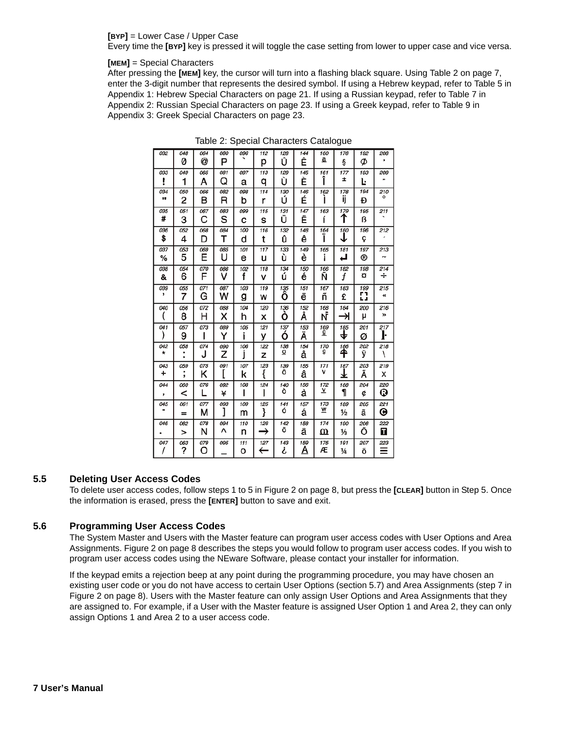#### **[BYP]** = Lower Case / Upper Case

Every time the **[BYP]** key is pressed it will toggle the case setting from lower to upper case and vice versa.

#### **[MEM]** = Special Characters

<span id="page-9-2"></span>After pressing the **[MEM]** key, the cursor will turn into a flashing black square. Using [Table 2 on page 7](#page-9-2), enter the 3-digit number that represents the desired symbol. If using a Hebrew keypad, refer to Table 5 in [Appendix 1: Hebrew Special Characters](#page-23-0) on [page 21](#page-23-0). If using a Russian keypad, refer to Table 7 in [Appendix 2: Russian Special Characters](#page-24-0) on [page 23.](#page-25-0) If using a Greek keypad, refer to Table 9 in [Appendix 3: Greek Special Characters](#page-25-0) on [page 23](#page-25-0).

| 032                   | 048<br>0 | 064<br>@ | 080<br>Р | 096      | 112           | 128<br>Û              | 144<br>Ê        | 160<br>₫        | 176        | 192       | 208      |
|-----------------------|----------|----------|----------|----------|---------------|-----------------------|-----------------|-----------------|------------|-----------|----------|
|                       |          |          |          |          | р             |                       |                 |                 | ş          | Ø         |          |
| 033                   | 049      | 065      | 081<br>Q | 097      | 113           | 129<br>Ù              | 145<br>È        | 161<br>Î        | 177<br>±   | 193       | 209<br>  |
| ļ                     | 1        | A        |          | а        | q             |                       |                 |                 |            | Ŀ         |          |
| 034<br>11             | 050<br>2 | 066<br>в | 082<br>R | 098<br>b | 114<br>r      | 130<br>Ú              | 146<br>É        | 162             | 178<br>ij  | 194<br>Đ  | 210<br>о |
| 035                   | 051      | 067      | 083      | 099      | 115           | 131                   | 147             | 163             | 179        | 195       | 211      |
| #                     | 3        | С        | s        | C        | s             | Ü                     | Ë               | í               | ↑          | ß         |          |
| 036                   | 052      | 068      | 084      | 100      | 116           | 132                   | 148             | 164             | 180        | 196       | 212      |
| \$                    | 4        | D        | т        | d        | t             | û                     | ê               | ı               | ↓          | ç         |          |
| 037                   | 053      | 069      | 085      | 101      | 117           | 133                   | 149             | 165             | 181        | 197       | 213      |
| %                     | 5        | Ε        | υ        | e        | u             | ù                     | è               | ī               | ك          | ®         | ∼        |
| 038                   | 054      | 070      | 086      | 102      | 118           | 134                   | 150             | 166             | 182        | 198       | 214      |
| &                     | 6        | F        | v        | f        | v             | ú                     | é               | Ñ               | f          | a         | ÷        |
| 039<br>,              | 055      | 071      | 087      | 103      | 119           | 135                   | 151             | 167             | 183        | 199<br>r٦ | 215      |
|                       | 7        | G        | w        | g        | W             | ô                     | ë               | ñ               | £          | 느ュ        | ≪        |
| 040                   | 056      | 072      | 088      | 104      | 120           | 136                   | 152             | 168             | 184        | 200       | 216      |
|                       | 8        | н        | x        | h        | X             | ò                     | Å               | NĪ              | ⇥          | μ         | >>       |
| 041                   | 057      | 073      | 089      | 105      | 121           | 137                   | 153             | 169<br><u>g</u> | 185        | 201       | 217      |
| ۱                     | 9        | ı        | Y        | i        | у             | Ó                     | Ä               |                 | ₩          | ø         | ŀ        |
| 042<br>$\star$        | 058      | 074      | 090      | 106      | 122           | 138<br>$\overline{o}$ | 154             | 170<br>g        | 186        | 202       | 218      |
|                       |          | J        | z        |          | z             |                       | å               |                 | ₳          | ÿ         | ∖        |
| 043                   | 059<br>٠ | 075      | 091      | 107      | 123           | 139<br>ô              | 155             | 171<br>ν        | 187        | 203       | 219      |
| ÷                     | ,        | κ        |          | k        | {             |                       | â               |                 | T          | Ã         | x        |
| 044                   | 060      | 076      | 092      | 108      | 124           | 140<br>Ò              | 156             | 172<br>⊻        | 188        | 204       | 220      |
| ,                     | <        |          | ¥        | ı        |               |                       | à               |                 | 1          | ¢         | ⊕        |
| 045<br>$\blacksquare$ | 061      | 077      | 093      | 109      | 125           | 141<br>ó              | 157             | 173<br>w        | 189        | 205       | 221      |
|                       | $=$      | м        | l        | m        | }             |                       | á               |                 | ⅛          | ã         | o        |
| 046                   | 062      | 078      | 094<br>Λ | 110      | 126           | 142<br>Ö              | 158             | 174             | 190        | 206       | 222      |
|                       | >        | N        |          | n        | $\rightarrow$ |                       | ä               | ⅏               | ⅓          | Õ         | П        |
| 047                   | 063<br>? | 079<br>O | 095      | 111<br>О | 127<br>←      | 143<br>ċ              | 159<br><u>A</u> | 175<br>Æ        | 191<br>1⁄4 | 207<br>õ  | 223<br>≡ |
|                       |          |          |          |          |               |                       |                 |                 |            |           |          |

Table 2: Special Characters Catalogue

### <span id="page-9-0"></span>**5.5 Deleting User Access Codes**

To delete user access codes, follow steps 1 to 5 in Figure 2 on page 8, but press the **[CLEAR]** button in Step 5. Once the information is erased, press the **[ENTER]** button to save and exit.

# <span id="page-9-1"></span>**5.6 Programming User Access Codes**

The System Master and Users with the Master feature can program user access codes with User Options and Area Assignments. Figure 2 on page 8 describes the steps you would follow to program user access codes. If you wish to program user access codes using the NEware Software, please contact your installer for information.

If the keypad emits a rejection beep at any point during the programming procedure, you may have chosen an existing user code or you do not have access to certain User Options [\(section 5.7](#page-11-0)) and Area Assignments (step 7 in Figure 2 on page 8). Users with the Master feature can only assign User Options and Area Assignments that they are assigned to. For example, if a User with the Master feature is assigned User Option 1 and Area 2, they can only assign Options 1 and Area 2 to a user access code.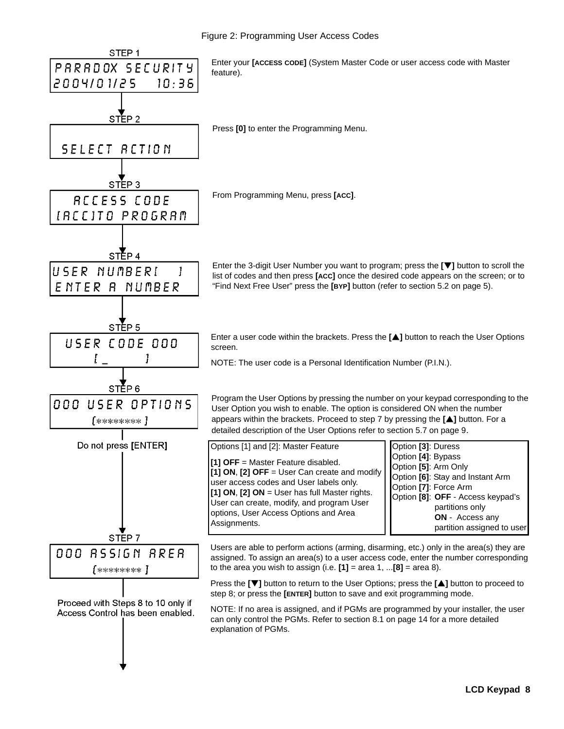<span id="page-10-1"></span><span id="page-10-0"></span>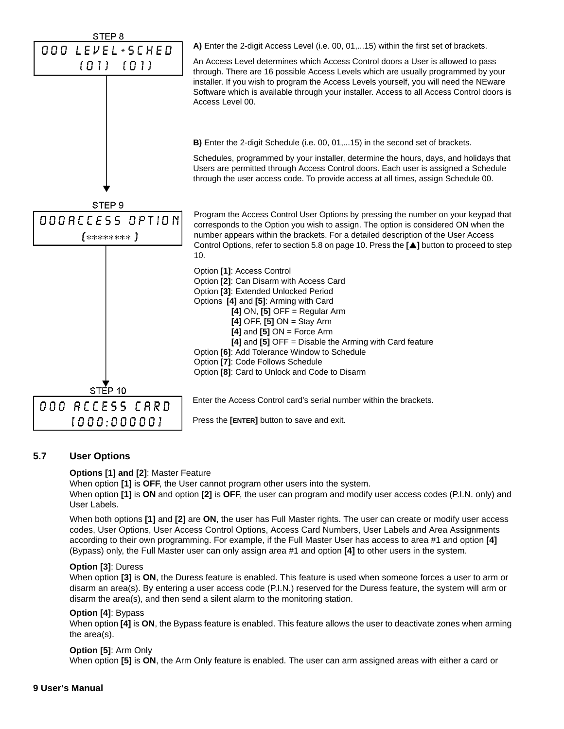<span id="page-11-7"></span><span id="page-11-6"></span><span id="page-11-3"></span><span id="page-11-2"></span>

# <span id="page-11-5"></span><span id="page-11-1"></span><span id="page-11-0"></span>**5.7 User Options**

### **Options [1] and [2]**: Master Feature

When option **[1]** is **OFF**, the User cannot program other users into the system.

When option **[1]** is **ON** and option **[2]** is **OFF**, the user can program and modify user access codes (P.I.N. only) and User Labels.

When both options **[1]** and **[2]** are **ON**, the user has Full Master rights. The user can create or modify user access codes, User Options, User Access Control Options, Access Card Numbers, User Labels and Area Assignments according to their own programming. For example, if the Full Master User has access to area #1 and option **[4]** (Bypass) only, the Full Master user can only assign area #1 and option **[4]** to other users in the system.

#### <span id="page-11-4"></span>**Option [3]**: Duress

When option **[3]** is **ON**, the Duress feature is enabled. This feature is used when someone forces a user to arm or disarm an area(s). By entering a user access code (P.I.N.) reserved for the Duress feature, the system will arm or disarm the area(s), and then send a silent alarm to the monitoring station.

#### <span id="page-11-9"></span>**Option [4]**: Bypass

When option **[4]** is **ON**, the Bypass feature is enabled. This feature allows the user to deactivate zones when arming the area(s).

#### <span id="page-11-8"></span>**Option [5]**: Arm Only

When option **[5]** is **ON**, the Arm Only feature is enabled. The user can arm assigned areas with either a card or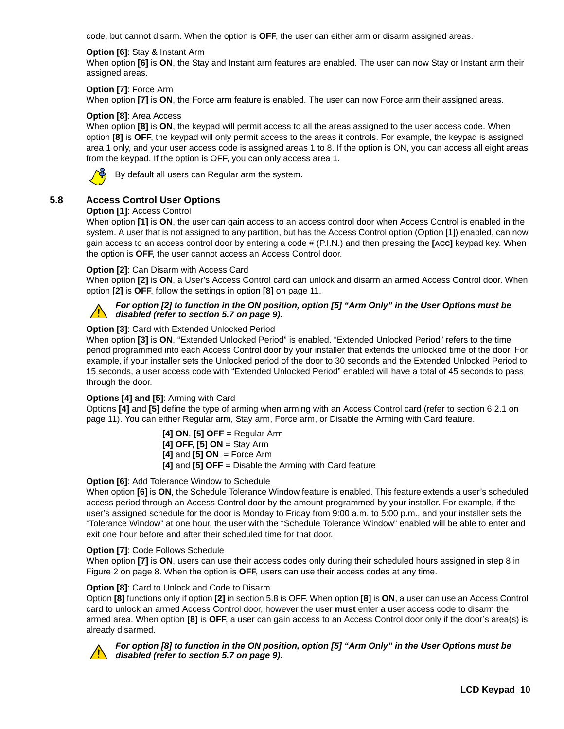code, but cannot disarm. When the option is **OFF**, the user can either arm or disarm assigned areas.

#### <span id="page-12-9"></span>**Option [6]**: Stay & Instant Arm

When option **[6]** is **ON**, the Stay and Instant arm features are enabled. The user can now Stay or Instant arm their assigned areas.

### <span id="page-12-8"></span>**Option [7]**: Force Arm

When option **[7]** is **ON**, the Force arm feature is enabled. The user can now Force arm their assigned areas.

### <span id="page-12-6"></span>**Option [8]**: Area Access

When option **[8]** is **ON**, the keypad will permit access to all the areas assigned to the user access code. When option **[8]** is **OFF**, the keypad will only permit access to the areas it controls. For example, the keypad is assigned area 1 only, and your user access code is assigned areas 1 to 8. If the option is ON, you can access all eight areas from the keypad. If the option is OFF, you can only access area 1.



By default all users can Regular arm the system.

# <span id="page-12-1"></span><span id="page-12-0"></span>**5.8 Access Control User Options**

### **Option [1]**: Access Control

When option **[1]** is **ON**, the user can gain access to an access control door when Access Control is enabled in the system. A user that is not assigned to any partition, but has the Access Control option (Option [1]) enabled, can now gain access to an access control door by entering a code # (P.I.N.) and then pressing the **[ACC]** keypad key. When the option is **OFF**, the user cannot access an Access Control door.

### <span id="page-12-3"></span>**Option [2]**: Can Disarm with Access Card

When option **[2]** is **ON**, a User's Access Control card can unlock and disarm an armed Access Control door. When option **[2]** is **OFF**, follow the settings in option **[8]** on [page 11](#page-13-0).



### *For option [2] to function in the ON position, option [5] "Arm Only" in the User Options must be disabled (refer to [section 5.7 on page 9](#page-11-0)).*

# **Option [3]**: Card with Extended Unlocked Period

When option **[3]** is **ON**, "Extended Unlocked Period" is enabled. "Extended Unlocked Period" refers to the time period programmed into each Access Control door by your installer that extends the unlocked time of the door. For example, if your installer sets the Unlocked period of the door to 30 seconds and the Extended Unlocked Period to 15 seconds, a user access code with "Extended Unlocked Period" enabled will have a total of 45 seconds to pass through the door.

### <span id="page-12-2"></span>**Options [4] and [5]**: Arming with Card

Options **[4]** and **[5]** define the type of arming when arming with an Access Control card (refer to [section 6.2.1 on](#page-13-4)  [page 11](#page-13-4)). You can either Regular arm, Stay arm, Force arm, or Disable the Arming with Card feature.

> **[4] ON**, **[5] OFF** = Regular Arm **[4] OFF**, **[5] ON** = Stay Arm **[4]** and **[5] ON** = Force Arm **[4]** and **[5] OFF** = Disable the Arming with Card feature

### **Option [6]**: Add Tolerance Window to Schedule

<span id="page-12-7"></span>When option **[6]** is **ON**, the Schedule Tolerance Window feature is enabled. This feature extends a user's scheduled access period through an Access Control door by the amount programmed by your installer. For example, if the user's assigned schedule for the door is Monday to Friday from 9:00 a.m. to 5:00 p.m., and your installer sets the "Tolerance Window" at one hour, the user with the "Schedule Tolerance Window" enabled will be able to enter and exit one hour before and after their scheduled time for that door.

### <span id="page-12-5"></span>**Option [7]**: Code Follows Schedule

When option **[7]** is **ON**, users can use their access codes only during their scheduled hours assigned in step 8 in Figure 2 on page 8. When the option is **OFF**, users can use their access codes at any time.

### <span id="page-12-4"></span>**Option [8]**: Card to Unlock and Code to Disarm

Option **[8]** functions only if option **[2]** in [section 5.8](#page-12-0) is OFF. When option **[8]** is **ON**, a user can use an Access Control card to unlock an armed Access Control door, however the user **must** enter a user access code to disarm the armed area. When option **[8]** is **OFF**, a user can gain access to an Access Control door only if the door's area(s) is already disarmed.



#### *For option [8] to function in the ON position, option [5] "Arm Only" in the User Options must be disabled (refer to [section 5.7 on page 9](#page-11-0)).*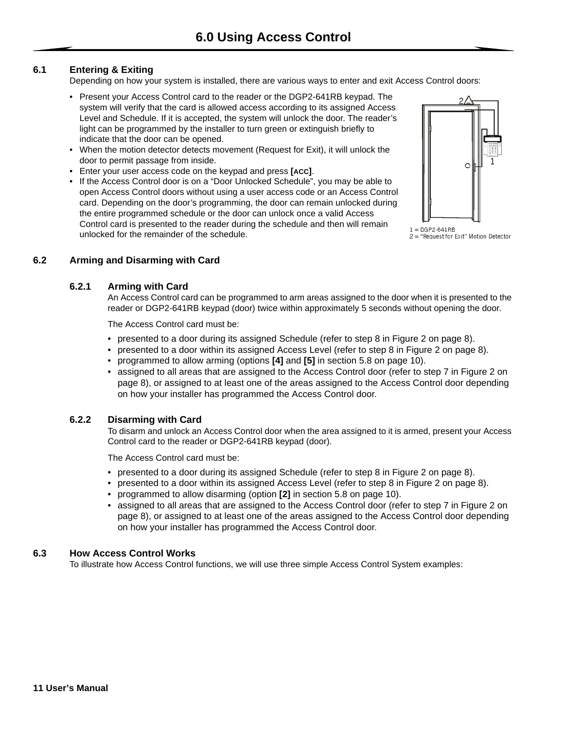# <span id="page-13-1"></span><span id="page-13-0"></span>**6.1 Entering & Exiting**

Depending on how your system is installed, there are various ways to enter and exit Access Control doors:

- Present your Access Control card to the reader or the DGP2-641RB keypad. The system will verify that the card is allowed access according to its assigned Access Level and Schedule. If it is accepted, the system will unlock the door. The reader's light can be programmed by the installer to turn green or extinguish briefly to indicate that the door can be opened.
- <span id="page-13-6"></span>• When the motion detector detects movement (Request for Exit), it will unlock the door to permit passage from inside.
- Enter your user access code on the keypad and press **[ACC]**.
- If the Access Control door is on a "Door Unlocked Schedule", you may be able to open Access Control doors without using a user access code or an Access Control card. Depending on the door's programming, the door can remain unlocked during the entire programmed schedule or the door can unlock once a valid Access Control card is presented to the reader during the schedule and then will remain unlocked for the remainder of the schedule.



 $1 = DGP2.641RB$  $2 =$  "Request for Exit" Motion Detector

# <span id="page-13-4"></span><span id="page-13-2"></span>**6.2 Arming and Disarming with Card**

### **6.2.1 Arming with Card**

An Access Control card can be programmed to arm areas assigned to the door when it is presented to the reader or DGP2-641RB keypad (door) twice within approximately 5 seconds without opening the door.

The Access Control card must be:

- presented to a door during its assigned Schedule (refer to step 8 in Figure 2 on page 8).
- presented to a door within its assigned Access Level (refer to step 8 in Figure 2 on page 8).
- programmed to allow arming (options **[4]** and **[5]** in [section 5.8 on page 10\).](#page-12-0)
- assigned to all areas that are assigned to the Access Control door (refer to step 7 in Figure 2 on page 8), or assigned to at least one of the areas assigned to the Access Control door depending on how your installer has programmed the Access Control door.

# <span id="page-13-5"></span>**6.2.2 Disarming with Card**

To disarm and unlock an Access Control door when the area assigned to it is armed, present your Access Control card to the reader or DGP2-641RB keypad (door).

The Access Control card must be:

- presented to a door during its assigned Schedule (refer to step 8 in Figure 2 on page 8).
- presented to a door within its assigned Access Level (refer to step 8 in Figure 2 on page 8).
- programmed to allow disarming (option **[2]** in [section 5.8 on page 10\)](#page-12-0).
- assigned to all areas that are assigned to the Access Control door (refer to step 7 in Figure 2 on page 8), or assigned to at least one of the areas assigned to the Access Control door depending on how your installer has programmed the Access Control door.

### <span id="page-13-3"></span>**6.3 How Access Control Works**

To illustrate how Access Control functions, we will use three simple Access Control System examples: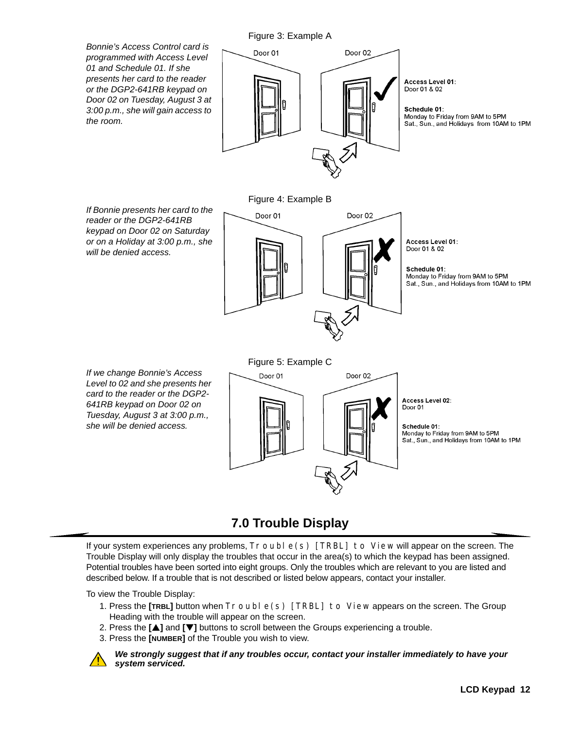

# **7.0 Trouble Display**

<span id="page-14-0"></span>If your system experiences any problems,  $T_{\text{C}}$  oble (s) [TRBL] to View will appear on the screen. The Trouble Display will only display the troubles that occur in the area(s) to which the keypad has been assigned. Potential troubles have been sorted into eight groups. Only the troubles which are relevant to you are listed and described below. If a trouble that is not described or listed below appears, contact your installer.

To view the Trouble Display:

- 1. Press the [TRBL] button when  $Tr \text{ouble}(s)$  [TRBL] to View appears on the screen. The Group Heading with the trouble will appear on the screen.
- 2. Press the **[**S**]** and **[**T**]** buttons to scroll between the Groups experiencing a trouble.
- 3. Press the **[NUMBER]** of the Trouble you wish to view.



*We strongly suggest that if any troubles occur, contact your installer immediately to have your system serviced.*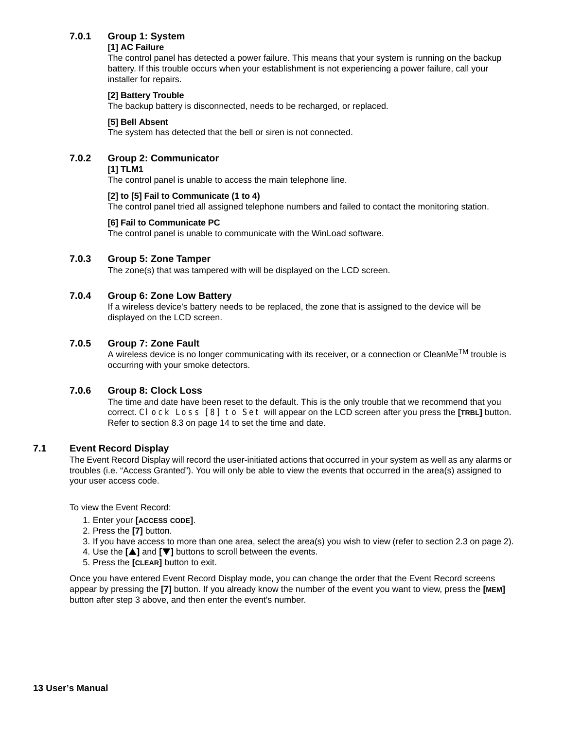# <span id="page-15-6"></span><span id="page-15-4"></span><span id="page-15-1"></span>**7.0.1 Group 1: System**

### **[1] AC Failure**

The control panel has detected a power failure. This means that your system is running on the backup battery. If this trouble occurs when your establishment is not experiencing a power failure, call your installer for repairs.

### **[2] Battery Trouble**

The backup battery is disconnected, needs to be recharged, or replaced.

### **[5] Bell Absent**

The system has detected that the bell or siren is not connected.

# <span id="page-15-11"></span><span id="page-15-9"></span><span id="page-15-8"></span><span id="page-15-3"></span>**7.0.2 Group 2: Communicator**

### **[1] TLM1**

The control panel is unable to access the main telephone line.

### **[2] to [5] Fail to Communicate (1 to 4)**

The control panel tried all assigned telephone numbers and failed to contact the monitoring station.

### **[6] Fail to Communicate PC**

The control panel is unable to communicate with the WinLoad software.

# <span id="page-15-10"></span><span id="page-15-5"></span>**7.0.3 Group 5: Zone Tamper**

The zone(s) that was tampered with will be displayed on the LCD screen.

# <span id="page-15-2"></span>**7.0.4 Group 6: Zone Low Battery**

If a wireless device's battery needs to be replaced, the zone that is assigned to the device will be displayed on the LCD screen.

### <span id="page-15-12"></span>**7.0.5 Group 7: Zone Fault**

A wireless device is no longer communicating with its receiver, or a connection or CleanMe<sup>TM</sup> trouble is occurring with your smoke detectors.

### <span id="page-15-7"></span>**7.0.6 Group 8: Clock Loss**

The time and date have been reset to the default. This is the only trouble that we recommend that you correct. Clock Loss [8] to Set will appear on the LCD screen after you press the **[TRBL]** button. Refer to [section 8.3 on page 14](#page-16-3) to set the time and date.

# <span id="page-15-0"></span>**7.1 Event Record Display**

The Event Record Display will record the user-initiated actions that occurred in your system as well as any alarms or troubles (i.e. "Access Granted"). You will only be able to view the events that occurred in the area(s) assigned to your user access code.

To view the Event Record:

- 1. Enter your **[ACCESS CODE]**.
- 2. Press the **[7]** button.
- 3. If you have access to more than one area, select the area(s) you wish to view (refer to [section 2.3 on page 2](#page-4-1)).
- 4. Use the **[**S**]** and **[**T**]** buttons to scroll between the events.
- 5. Press the **[CLEAR]** button to exit.

Once you have entered Event Record Display mode, you can change the order that the Event Record screens appear by pressing the **[7]** button. If you already know the number of the event you want to view, press the **[MEM]**  button after step 3 above, and then enter the event's number.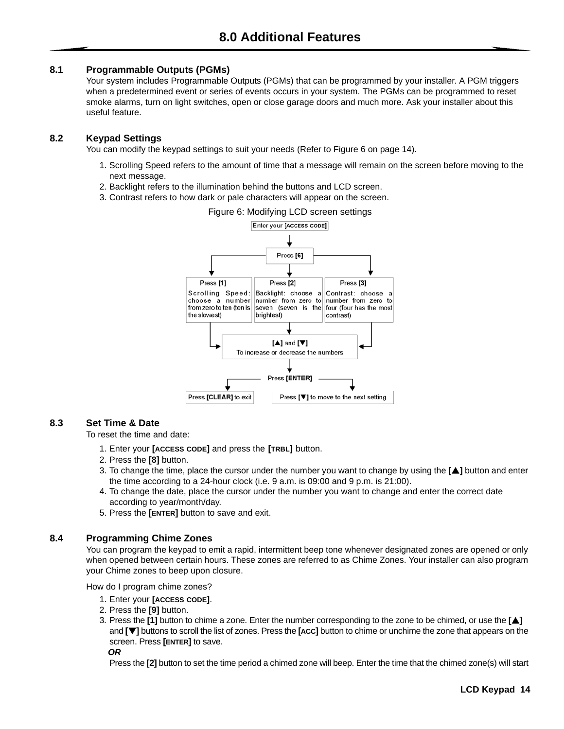### <span id="page-16-1"></span><span id="page-16-0"></span>**8.1 Programmable Outputs (PGMs)**

Your system includes Programmable Outputs (PGMs) that can be programmed by your installer. A PGM triggers when a predetermined event or series of events occurs in your system. The PGMs can be programmed to reset smoke alarms, turn on light switches, open or close garage doors and much more. Ask your installer about this useful feature.

# <span id="page-16-2"></span>**8.2 Keypad Settings**

You can modify the keypad settings to suit your needs (Refer to Figure 6 on page 14).

- 1. Scrolling Speed refers to the amount of time that a message will remain on the screen before moving to the next message.
- 2. Backlight refers to the illumination behind the buttons and LCD screen.
- 3. Contrast refers to how dark or pale characters will appear on the screen.



#### <span id="page-16-3"></span>**8.3 Set Time & Date**

To reset the time and date:

- 1. Enter your **[ACCESS CODE]** and press the **[TRBL]** button.
- 2. Press the **[8]** button.
- 3. To change the time, place the cursor under the number you want to change by using the **[**S**]** button and enter the time according to a 24-hour clock (i.e. 9 a.m. is 09:00 and 9 p.m. is 21:00).
- 4. To change the date, place the cursor under the number you want to change and enter the correct date according to year/month/day.
- 5. Press the **[ENTER]** button to save and exit.

### <span id="page-16-4"></span>**8.4 Programming Chime Zones**

You can program the keypad to emit a rapid, intermittent beep tone whenever designated zones are opened or only when opened between certain hours. These zones are referred to as Chime Zones. Your installer can also program your Chime zones to beep upon closure.

How do I program chime zones?

- 1. Enter your **[ACCESS CODE]**.
- 2. Press the **[9]** button.
- 3. Press the **[1]** button to chime a zone. Enter the number corresponding to the zone to be chimed, or use the **[**S**]**  and **[**T**]** buttons to scroll the list of zones. Press the **[ACC]** button to chime or unchime the zone that appears on the screen. Press **[ENTER]** to save. *OR*

Press the **[2]** button to set the time period a chimed zone will beep. Enter the time that the chimed zone(s) will start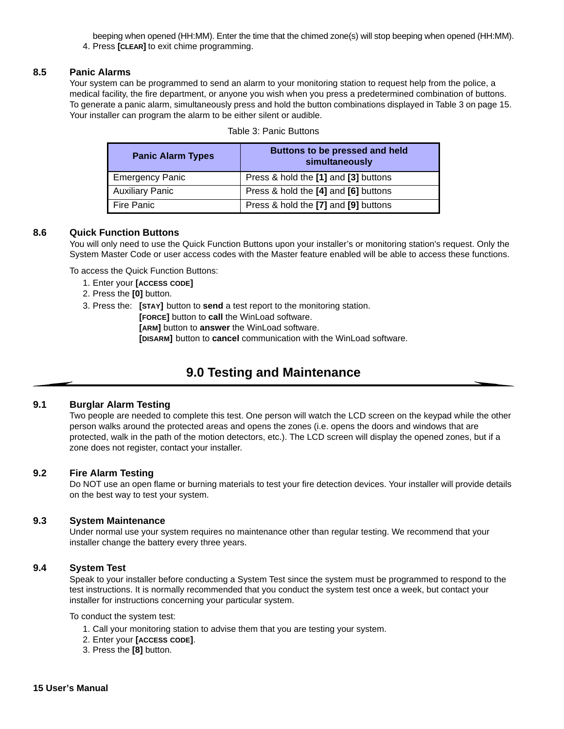beeping when opened (HH:MM). Enter the time that the chimed zone(s) will stop beeping when opened (HH:MM).

4. Press **[CLEAR]** to exit chime programming.

#### <span id="page-17-0"></span>**8.5 Panic Alarms**

Your system can be programmed to send an alarm to your monitoring station to request help from the police, a medical facility, the fire department, or anyone you wish when you press a predetermined combination of buttons. To generate a panic alarm, simultaneously press and hold the button combinations displayed in Table 3 on page 15. Your installer can program the alarm to be either silent or audible.

| <b>Panic Alarm Types</b> | Buttons to be pressed and held<br>simultaneously |
|--------------------------|--------------------------------------------------|
| <b>Emergency Panic</b>   | Press & hold the [1] and [3] buttons             |
| <b>Auxiliary Panic</b>   | Press & hold the [4] and [6] buttons             |
| Fire Panic               | Press & hold the [7] and [9] buttons             |

### <span id="page-17-1"></span>**8.6 Quick Function Buttons**

You will only need to use the Quick Function Buttons upon your installer's or monitoring station's request. Only the System Master Code or user access codes with the Master feature enabled will be able to access these functions.

To access the Quick Function Buttons:

- 1. Enter your **[ACCESS CODE]**
- 2. Press the **[0]** button.

3. Press the: **[STAY]** button to **send** a test report to the monitoring station.

**[FORCE]** button to **call** the WinLoad software.

**[ARM]** button to **answer** the WinLoad software.

**[DISARM]** button to **cancel** communication with the WinLoad software.

# **9.0 Testing and Maintenance**

### <span id="page-17-3"></span><span id="page-17-2"></span>**9.1 Burglar Alarm Testing**

Two people are needed to complete this test. One person will watch the LCD screen on the keypad while the other person walks around the protected areas and opens the zones (i.e. opens the doors and windows that are protected, walk in the path of the motion detectors, etc.). The LCD screen will display the opened zones, but if a zone does not register, contact your installer.

### <span id="page-17-4"></span>**9.2 Fire Alarm Testing**

Do NOT use an open flame or burning materials to test your fire detection devices. Your installer will provide details on the best way to test your system.

#### <span id="page-17-5"></span>**9.3 System Maintenance**

Under normal use your system requires no maintenance other than regular testing. We recommend that your installer change the battery every three years.

#### <span id="page-17-6"></span>**9.4 System Test**

Speak to your installer before conducting a System Test since the system must be programmed to respond to the test instructions. It is normally recommended that you conduct the system test once a week, but contact your installer for instructions concerning your particular system.

To conduct the system test:

- 1. Call your monitoring station to advise them that you are testing your system.
- 2. Enter your **[ACCESS CODE]**.
- 3. Press the **[8]** button.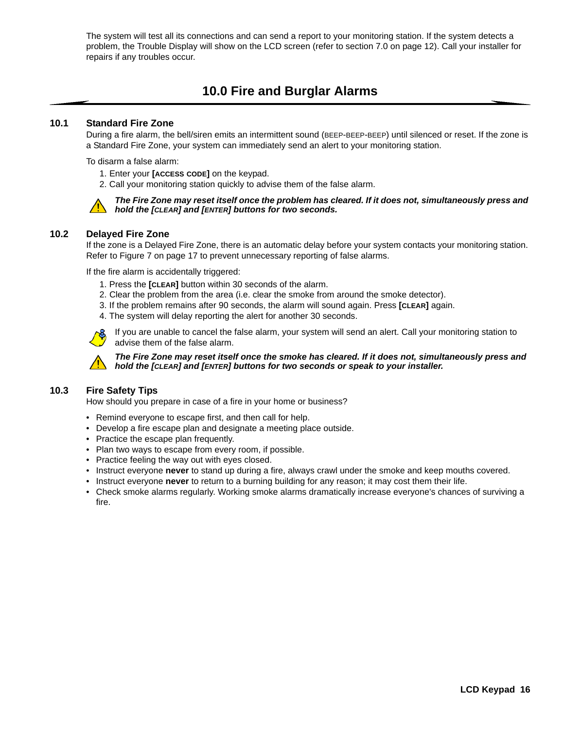The system will test all its connections and can send a report to your monitoring station. If the system detects a problem, the Trouble Display will show on the LCD screen (refer to [section 7.0 on page 12](#page-14-0)). Call your installer for repairs if any troubles occur.

# **10.0 Fire and Burglar Alarms**

#### <span id="page-18-1"></span><span id="page-18-0"></span>**10.1 Standard Fire Zone**

During a fire alarm, the bell/siren emits an intermittent sound (BEEP-BEEP-BEEP) until silenced or reset. If the zone is a Standard Fire Zone, your system can immediately send an alert to your monitoring station.

To disarm a false alarm:

- 1. Enter your **[ACCESS CODE]** on the keypad.
- 2. Call your monitoring station quickly to advise them of the false alarm.



#### *The Fire Zone may reset itself once the problem has cleared. If it does not, simultaneously press and hold the [CLEAR] and [ENTER] buttons for two seconds.*

### <span id="page-18-2"></span>**10.2 Delayed Fire Zone**

If the zone is a Delayed Fire Zone, there is an automatic delay before your system contacts your monitoring station. Refer to Figure 7 on page 17 to prevent unnecessary reporting of false alarms.

If the fire alarm is accidentally triggered:

- 1. Press the **[CLEAR]** button within 30 seconds of the alarm.
- 2. Clear the problem from the area (i.e. clear the smoke from around the smoke detector).
- 3. If the problem remains after 90 seconds, the alarm will sound again. Press **[CLEAR]** again.
- 4. The system will delay reporting the alert for another 30 seconds.

If you are unable to cancel the false alarm, your system will send an alert. Call your monitoring station to advise them of the false alarm.



*The Fire Zone may reset itself once the smoke has cleared. If it does not, simultaneously press and hold the [CLEAR] and [ENTER] buttons for two seconds or speak to your installer.* 

# <span id="page-18-3"></span>**10.3 Fire Safety Tips**

How should you prepare in case of a fire in your home or business?

- Remind everyone to escape first, and then call for help.
- Develop a fire escape plan and designate a meeting place outside.
- Practice the escape plan frequently.
- Plan two ways to escape from every room, if possible.
- Practice feeling the way out with eyes closed.
- Instruct everyone **never** to stand up during a fire, always crawl under the smoke and keep mouths covered.
- Instruct everyone **never** to return to a burning building for any reason; it may cost them their life.
- Check smoke alarms regularly. Working smoke alarms dramatically increase everyone's chances of surviving a fire.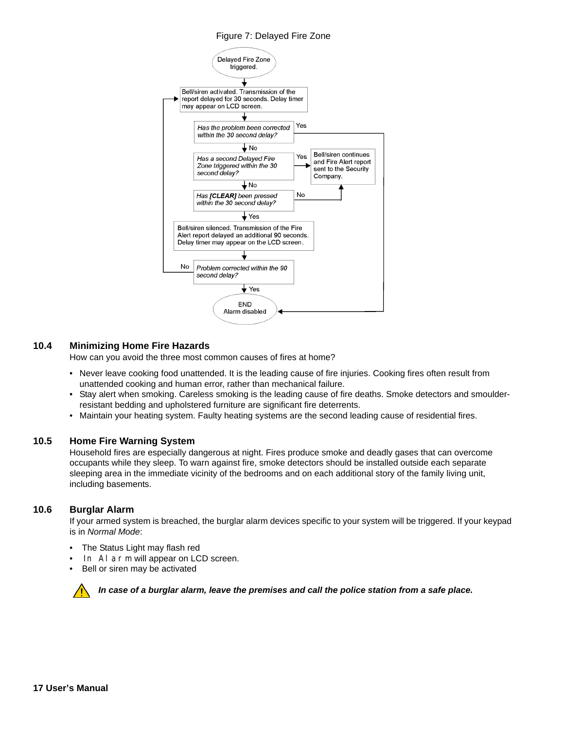### Figure 7: Delayed Fire Zone



### <span id="page-19-0"></span>**10.4 Minimizing Home Fire Hazards**

How can you avoid the three most common causes of fires at home?

- Never leave cooking food unattended. It is the leading cause of fire injuries. Cooking fires often result from unattended cooking and human error, rather than mechanical failure.
- Stay alert when smoking. Careless smoking is the leading cause of fire deaths. Smoke detectors and smoulderresistant bedding and upholstered furniture are significant fire deterrents.
- Maintain your heating system. Faulty heating systems are the second leading cause of residential fires.

#### <span id="page-19-1"></span>**10.5 Home Fire Warning System**

Household fires are especially dangerous at night. Fires produce smoke and deadly gases that can overcome occupants while they sleep. To warn against fire, smoke detectors should be installed outside each separate sleeping area in the immediate vicinity of the bedrooms and on each additional story of the family living unit, including basements.

#### <span id="page-19-2"></span>**10.6 Burglar Alarm**

If your armed system is breached, the burglar alarm devices specific to your system will be triggered. If your keypad is in *Normal Mode*:

- The Status Light may flash red
- In Alarm will appear on LCD screen.
- Bell or siren may be activated



*In case of a burglar alarm, leave the premises and call the police station from a safe place.*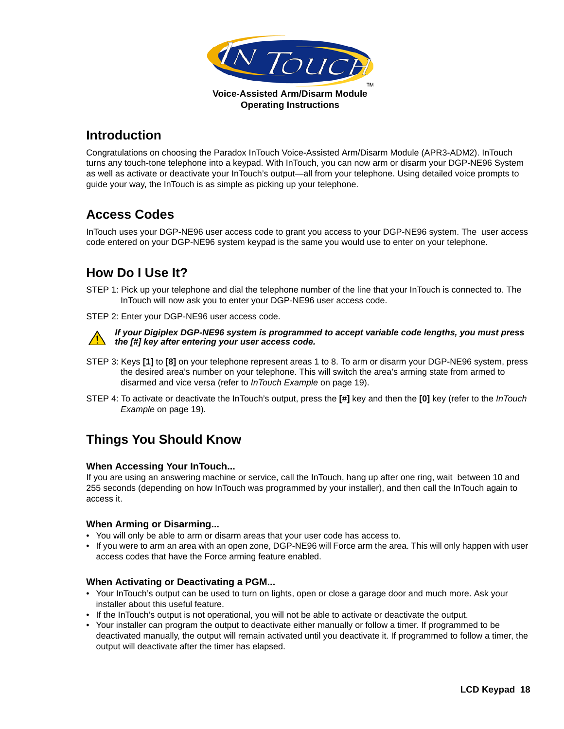

# <span id="page-20-7"></span><span id="page-20-0"></span>**Introduction**

Congratulations on choosing the Paradox InTouch Voice-Assisted Arm/Disarm Module (APR3-ADM2). InTouch turns any touch-tone telephone into a keypad. With InTouch, you can now arm or disarm your DGP-NE96 System as well as activate or deactivate your InTouch's output—all from your telephone. Using detailed voice prompts to guide your way, the InTouch is as simple as picking up your telephone.

# <span id="page-20-1"></span>**Access Codes**

<span id="page-20-8"></span>InTouch uses your DGP-NE96 user access code to grant you access to your DGP-NE96 system. The user access code entered on your DGP-NE96 system keypad is the same you would use to enter on your telephone.

# <span id="page-20-2"></span>**How Do I Use It?**

- STEP 1: Pick up your telephone and dial the telephone number of the line that your InTouch is connected to. The InTouch will now ask you to enter your DGP-NE96 user access code.
- STEP 2: Enter your DGP-NE96 user access code.



*If your Digiplex DGP-NE96 system is programmed to accept variable code lengths, you must press the [#] key after entering your user access code.*

- STEP 3: Keys **[1]** to **[8]** on your telephone represent areas 1 to 8. To arm or disarm your DGP-NE96 system, press the desired area's number on your telephone. This will switch the area's arming state from armed to disarmed and vice versa (refer to *[InTouch Example](#page-21-2)* on page 19).
- STEP 4: To activate or deactivate the InTouch's output, press the **[#]** key and then the **[0]** key (refer to the *[InTouch](#page-21-2)  Example* [on page 19\)](#page-21-2).

# <span id="page-20-3"></span>**Things You Should Know**

# <span id="page-20-4"></span>**When Accessing Your InTouch...**

If you are using an answering machine or service, call the InTouch, hang up after one ring, wait between 10 and 255 seconds (depending on how InTouch was programmed by your installer), and then call the InTouch again to access it.

# <span id="page-20-5"></span>**When Arming or Disarming...**

- You will only be able to arm or disarm areas that your user code has access to.
- If you were to arm an area with an open zone, DGP-NE96 will Force arm the area. This will only happen with user access codes that have the Force arming feature enabled.

# <span id="page-20-6"></span>**When Activating or Deactivating a PGM...**

- Your InTouch's output can be used to turn on lights, open or close a garage door and much more. Ask your installer about this useful feature.
- If the InTouch's output is not operational, you will not be able to activate or deactivate the output.
- Your installer can program the output to deactivate either manually or follow a timer. If programmed to be deactivated manually, the output will remain activated until you deactivate it. If programmed to follow a timer, the output will deactivate after the timer has elapsed.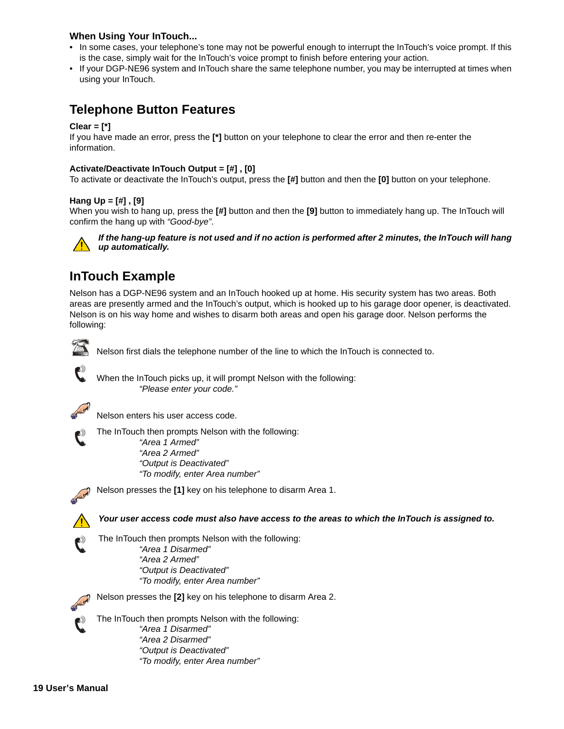# <span id="page-21-0"></span>**When Using Your InTouch...**

- In some cases, your telephone's tone may not be powerful enough to interrupt the InTouch's voice prompt. If this is the case, simply wait for the InTouch's voice prompt to finish before entering your action.
- If your DGP-NE96 system and InTouch share the same telephone number, you may be interrupted at times when using your InTouch.

# <span id="page-21-1"></span>**Telephone Button Features**

### **Clear = [\*]**

If you have made an error, press the **[\*]** button on your telephone to clear the error and then re-enter the information.

### **Activate/Deactivate InTouch Output = [#] , [0]**

To activate or deactivate the InTouch's output, press the **[#]** button and then the **[0]** button on your telephone.

### **Hang Up = [#] , [9]**

When you wish to hang up, press the **[#]** button and then the **[9]** button to immediately hang up. The InTouch will confirm the hang up with *"Good-bye"*.



*If the hang-up feature is not used and if no action is performed after 2 minutes, the InTouch will hang up automatically.*

# <span id="page-21-2"></span>**InTouch Example**

Nelson has a DGP-NE96 system and an InTouch hooked up at home. His security system has two areas. Both areas are presently armed and the InTouch's output, which is hooked up to his garage door opener, is deactivated. Nelson is on his way home and wishes to disarm both areas and open his garage door. Nelson performs the following:



Nelson first dials the telephone number of the line to which the InTouch is connected to.

When the InTouch picks up, it will prompt Nelson with the following: *"Please enter your code."*



Nelson enters his user access code.

The InTouch then prompts Nelson with the following: *"Area 1 Armed" "Area 2 Armed" "Output is Deactivated" "To modify, enter Area number"*



Nelson presses the **[1]** key on his telephone to disarm Area 1.

*Your user access code must also have access to the areas to which the InTouch is assigned to.*

The InTouch then prompts Nelson with the following: *"Area 1 Disarmed" "Area 2 Armed" "Output is Deactivated" "To modify, enter Area number"*

Nelson presses the **[2]** key on his telephone to disarm Area 2.

The InTouch then prompts Nelson with the following: *"Area 1 Disarmed" "Area 2 Disarmed" "Output is Deactivated" "To modify, enter Area number"*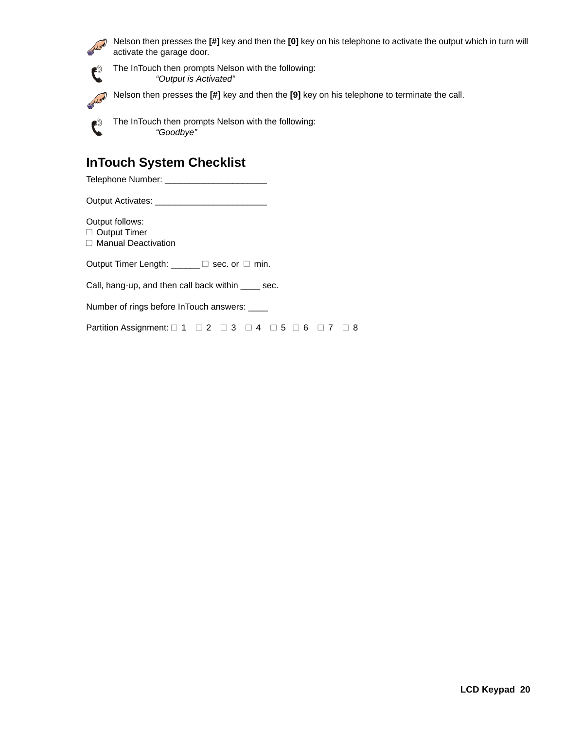

Nelson then presses the **[#]** key and then the **[0]** key on his telephone to activate the output which in turn will activate the garage door.

The InTouch then prompts Nelson with the following: *"Output is Activated"*

ALLEN Nelson then presses the **[#]** key and then the **[9]** key on his telephone to terminate the call.



The InTouch then prompts Nelson with the following: *"Goodbye"*

# <span id="page-22-0"></span>**InTouch System Checklist**

Telephone Number: \_\_\_\_\_\_\_\_\_\_\_\_\_\_\_\_\_\_\_\_\_

Output Activates: \_\_\_\_\_\_\_\_\_\_\_\_

Output follows:

□ Output Timer

□ Manual Deactivation

Output Timer Length:  $\Box$  Sec. or  $\Box$  min.

Call, hang-up, and then call back within \_\_\_\_ sec.

Number of rings before InTouch answers: \_\_\_\_

Partition Assignment:  $\Box$  1  $\Box$  2  $\Box$  3  $\Box$  4  $\Box$  5  $\Box$  6  $\Box$  7  $\Box$  8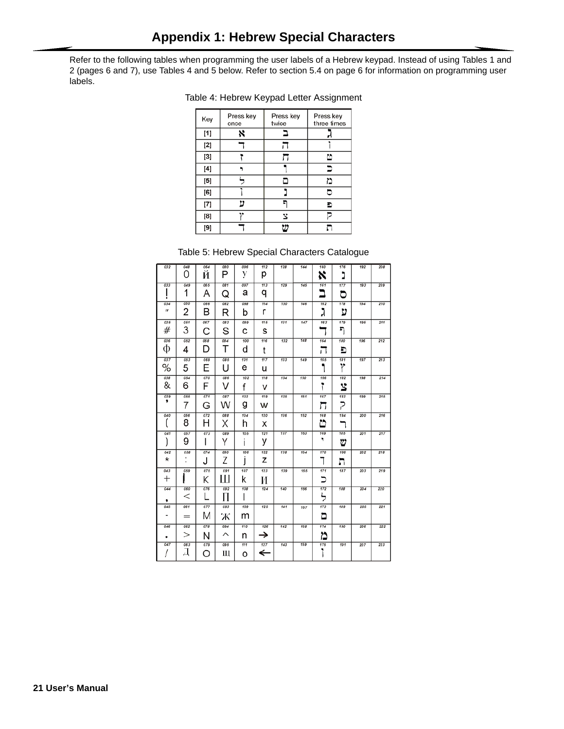<span id="page-23-0"></span>Refer to the following tables when programming the user labels of a Hebrew keypad. Instead of using Tables 1 and 2 (pages [6](#page-8-2) and [7\)](#page-9-2), use Tables 4 and 5 below. Refer to [section 5.4](#page-8-0) on [page 6](#page-8-0) for information on programming user labels.

| Key                                                                                                                                                                                                                                                                                                                                                                                                                                                                          | Press key<br>once | Press key<br>twice | Press key<br>three times |
|------------------------------------------------------------------------------------------------------------------------------------------------------------------------------------------------------------------------------------------------------------------------------------------------------------------------------------------------------------------------------------------------------------------------------------------------------------------------------|-------------------|--------------------|--------------------------|
| [1]                                                                                                                                                                                                                                                                                                                                                                                                                                                                          | ×                 |                    |                          |
| [2]                                                                                                                                                                                                                                                                                                                                                                                                                                                                          |                   |                    |                          |
| [3]                                                                                                                                                                                                                                                                                                                                                                                                                                                                          |                   |                    | ّ                        |
| $[4] \centering% \includegraphics[width=1\textwidth]{images/TransY.pdf} \caption{The first two different values of $10^{-4}$. The first two different values of $10^{-4}$. The first two different values of $10^{-4}$. The first two different values of $10^{-4}$. The first two different values of $10^{-4}$. The first two different values of $10^{-4}$. The first two different values of $10^{-4}$. The first two different values of $10^{-4}$.} \label{fig:class}$ |                   |                    |                          |
| [5]                                                                                                                                                                                                                                                                                                                                                                                                                                                                          |                   |                    | د١                       |
| [6]                                                                                                                                                                                                                                                                                                                                                                                                                                                                          |                   |                    |                          |
| [7]                                                                                                                                                                                                                                                                                                                                                                                                                                                                          | 11                |                    | Ð                        |
| [8]                                                                                                                                                                                                                                                                                                                                                                                                                                                                          |                   | Ľ                  |                          |
| [9]                                                                                                                                                                                                                                                                                                                                                                                                                                                                          |                   |                    |                          |

# Table 4: Hebrew Keypad Letter Assignment

Table 5: Hebrew Special Characters Catalogue

| 032                       | 048<br>O      | 064<br>И | 080<br>P | 096<br>V | 112<br>р | 128 | 144 | 160<br>x      | 176<br>נ | 192 | 208 |
|---------------------------|---------------|----------|----------|----------|----------|-----|-----|---------------|----------|-----|-----|
| 033                       | 049<br>1      | 065<br>А | 081<br>Q | 097<br>а | 113<br>q | 129 | 145 | 161<br>∍      | 177<br>జ | 193 | 209 |
| 034<br>$\boldsymbol{\mu}$ | 050<br>2      | 066<br>В | 082<br>R | 098<br>b | 114<br>r | 130 | 146 | 162<br>ג      | 178<br>ט | 194 | 210 |
| 035<br>#                  | 051<br>3      | 067<br>С | 083<br>S | 099<br>с | 115<br>s | 131 | 147 | 163           | 179<br>ה | 195 | 211 |
| 036<br>Ф                  | 062<br>4      | 068<br>D | 084<br>Т | 100<br>d | 116<br>t | 132 | 148 | 164<br>ιı     | 180<br>Ð | 196 | 212 |
| 037<br>℅                  | 053<br>5      | 069<br>F | 085<br>Н | 101<br>е | 117<br>u | 133 | 149 | 165           | 181<br>r | 197 | 213 |
| 038<br>&                  | 054<br>6      | 070<br>F | 086<br>V | 102<br>f | 118<br>ν | 134 | 150 | 166<br>ĩ      | 182<br>3 | 198 | 214 |
| 039<br>,                  | 055<br>7      | 071<br>G | 087<br>W | 103<br>g | 119<br>w | 135 | 151 | 167<br>រេ     | 183<br>Ρ | 199 | 215 |
| 040                       | 056<br>8      | 072<br>н | 088<br>Χ | 104<br>h | 120<br>x | 136 | 152 | 168<br>బ      | 184      | 200 | 216 |
| 041                       | 057<br>9      | 073<br>ı | 089<br>Υ | 105<br>ı | 121<br>у | 137 | 153 | 169<br>٠      | 185<br>⋓ | 201 | 217 |
| 042<br>$^\star$           | 058<br>٠<br>٠ | 074<br>J | 090<br>7 | 106<br>ı | 122<br>z | 138 | 154 | 170           | 186<br>л | 202 | 218 |
| 043<br>$^+$               | 059           | 075<br>Κ | 091<br>Ш | 107<br>k | 123<br>И | 139 | 155 | 171<br>、<br>ـ | 187      | 203 | 219 |
| 044<br>,                  | 060<br>$\,<$  | 076      | 092<br>П | 108      | 124      | 140 | 156 | 172<br>ל      | 188      | 204 | 220 |
| 045                       | 061<br>$=$    | 077<br>M | 093<br>Ж | 109<br>m | 125      | 141 | 157 | 173<br>ם      | 189      | 205 | 221 |
| 046                       | 062<br>>      | 078<br>N | 094<br>⌒ | 110<br>n | 126<br>→ | 142 | 158 | 174<br>ð      | 190      | 206 | 222 |
| 047                       | 063<br>⊥      | 079<br>Ο | 095<br>Ш | 111<br>o | 127<br>← | 143 | 159 | 175<br>۱      | 191      | 207 | 223 |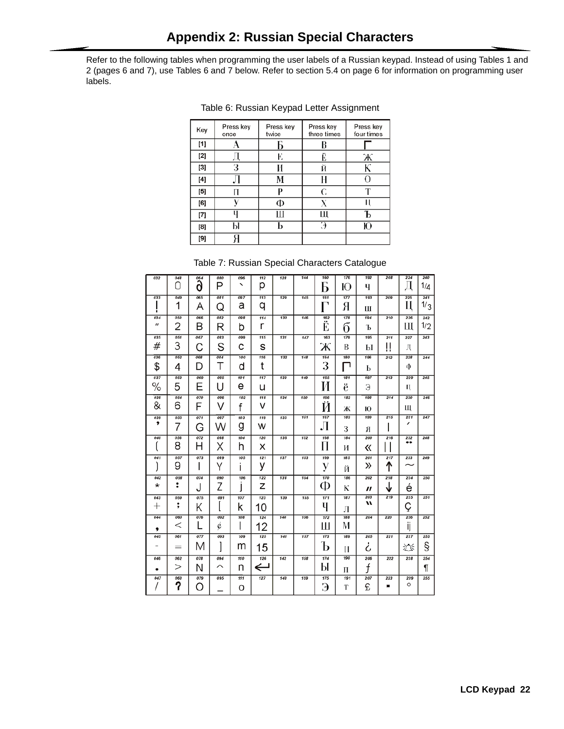<span id="page-24-0"></span>Refer to the following tables when programming the user labels of a Russian keypad. Instead of using Tables 1 and 2 (pages [6](#page-8-2) and [7\)](#page-9-2), use Tables 6 and 7 below. Refer to [section 5.4](#page-8-0) on [page 6](#page-8-0) for information on programming user labels.

| Key      | Press key<br>once | Press key<br>twice | Press key<br>three times | Press key<br>four times |
|----------|-------------------|--------------------|--------------------------|-------------------------|
| [1]      |                   |                    | В                        |                         |
| [2]      |                   | E                  | <br>E                    | Ж                       |
| [3]      | з                 |                    | Й                        | К                       |
| [4]      |                   | М                  | Н                        | O                       |
| [5]      | П                 | D                  | C                        | m                       |
| [6]      |                   | Ф                  | X                        |                         |
| $^{[7]}$ | U                 |                    | Ш                        |                         |
| [8]      | Ы                 |                    | Э                        | Ю                       |
| [9]      |                   |                    |                          |                         |

Table 6: Russian Keypad Letter Assignment

### Table 7: Russian Special Characters Catalogue

| 032                               | 048<br>Ω | 064<br>ð | 080<br>P | 096<br>↖ | 112<br>р     | 128 | 144 | 160<br>b | 176<br>Ю | 192<br>Ч | 208      | 224<br>Д                | 240<br>1/д |
|-----------------------------------|----------|----------|----------|----------|--------------|-----|-----|----------|----------|----------|----------|-------------------------|------------|
| 033                               | 049<br>1 | 065<br>А | 081<br>Q | 097<br>a | 113<br>q     | 129 | 145 | 161<br>٦ | 177<br>Я | 193<br>Ш | 209      | 225<br>Ц                | 241<br>1/3 |
| 034<br>$\boldsymbol{\mathcal{U}}$ | 050<br>2 | 066<br>B | 082<br>R | 098<br>b | 114<br>r     | 130 | 146 | 162<br>Ë | 178<br>б | 194<br>Ъ | 210      | 226<br>Ш                | 242<br>1/2 |
| 035                               | 051<br>3 | 067      | 083      | 099      | 115          | 131 | 147 | 163      | 179      | 195      | 211      | 227                     | 243        |
| #                                 |          | С        | S        | С        | s            |     |     | Ж        | B        | Ы        | ļļ       | Д                       |            |
| 036<br>\$                         | 052<br>4 | 068<br>D | 084<br>T | 100<br>d | 116<br>t     | 132 | 148 | 164<br>3 | 180<br>٦ | 196<br>Ь | 212      | 228<br>Ф                | 244        |
| 037                               | 053      | 069      | 085      | 101      | 117          | 133 | 149 | 165      | 181      | 197      | 213      | 229                     | 245        |
| ℅                                 | 5        | Ε        | U        | е        | u            |     |     | И        | ë        | Э        |          | П                       |            |
| 038                               | 054      | 070      | 086      | 102      | 118          | 134 | 150 | 166      | 182      | 198      | 214      | 230                     | 246        |
| &                                 | 6        | F        | V        | f        | v            |     |     | Й        | Ж        | Ю        |          | Щ                       |            |
| 039<br>,                          | 055      | 071      | 087      | 103      | 119          | 135 | 151 | 167      | 183      | 199      | 215      | 231<br>,                | 247        |
|                                   | 7        | G        | W        | g        | w            |     |     | Л        | 3        | Я        |          |                         |            |
| 040                               | 056      | 072      | 088      | 104      | 120          | 136 | 152 | 168      | 184      | 200      | 216      | 232<br>$\bullet\bullet$ | 248        |
|                                   | 8        | н        | Χ        | h        | x            |     |     | П        | И        | 《        |          |                         |            |
| 041                               | 057<br>9 | 073      | 089      | 105      | 121          | 137 | 153 | 169      | 185      | 201<br>≫ | 217      | 233                     | 249        |
|                                   |          | ı        | Υ        | ı        | у            |     |     | у        | Й        |          | ↑        |                         |            |
| 042<br>$^{\star}$                 | 058<br>፡ | 074      | 090      | 106      | 122          | 138 | 154 | 170<br>Ф | 186      | 202      | 218      | 234                     | 250        |
|                                   |          | J        | Z        |          | Z            |     |     |          | К        | "        |          | é                       |            |
| 043                               | 059      | 075      | 091      | 107      | 123          | 139 | 155 | 171      | 187      | 203<br>w | 219      | 235                     | 251        |
| $\hspace{0.1mm} +$                | ;        | Κ        |          | ĸ        | 10           |     |     | Ч        | Л        |          |          | Ç                       |            |
| 044                               | 060      | 076      | 092      | 108      | 124          | 140 | 156 | 172      | 188      | 204      | 220      | 236                     | 252        |
| ,                                 | $\,<\,$  |          | ć        |          | 12           |     |     | Ш        | М        |          |          | ij                      |            |
| 045                               | 061      | 077      | 093      | 109      | 125          | 141 | 157 | 173      | 189      | 205      | 221      | 237                     | 253        |
| -                                 | $=$      | M        |          | m        | 15           |     |     | b        | Н        | ι        |          | 迩                       | §          |
| 046                               | 062      | 078      | 094      | 110      | 126          | 142 | 158 | 174      | 190      | 206      | 222      | 238                     | 254        |
| ٠                                 | >        | N        | ⌒        | n        | $\Leftarrow$ |     |     | Ы        | П        | f        |          |                         | ¶          |
| 047                               | 063<br>? | 079<br>Ω | 095      | 111      | 127          | 143 | 159 | 175      | 191<br>Т | 207<br>£ | 223<br>п | 239<br>O                | 255        |
|                                   |          |          |          | O        |              |     |     | Э        |          |          |          |                         |            |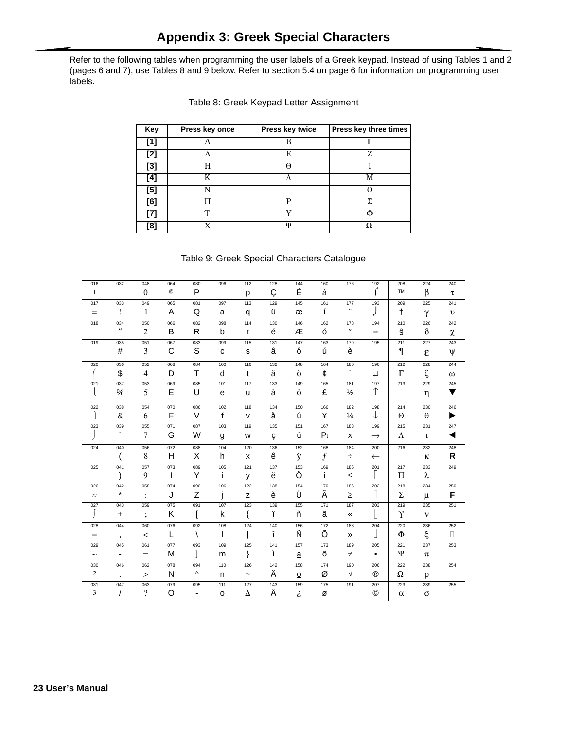<span id="page-25-0"></span>Refer to the following tables when programming the user labels of a Greek keypad. Instead of using Tables 1 and 2 (pages 6 and 7), use Tables 8 and 9 below. Refer to section 5.4 on page 6 for information on programming user labels.

| Key   | Press key once | Press key twice | Press key three times |
|-------|----------------|-----------------|-----------------------|
| [1]   |                | B               |                       |
| [2]   |                | E               | Z                     |
| $[3]$ | н              | A               |                       |
| [4]   | K              |                 | M                     |
| [5]   | N              |                 |                       |
| [6]   |                | р               | Σ.                    |
| [7]   | $\mathbf{T}$   | v               |                       |
| [8]   | v              | Ψ               |                       |

| Table 8: Greek Keypad Letter Assignment |
|-----------------------------------------|
|-----------------------------------------|

### Table 9: Greek Special Characters Catalogue

| 016            | 032                             | 048            | 064          | 080                      | 096          | 112                   | 128 | 144                      | 160   | 176           | 192            | 208       | 224          | 240        |
|----------------|---------------------------------|----------------|--------------|--------------------------|--------------|-----------------------|-----|--------------------------|-------|---------------|----------------|-----------|--------------|------------|
| $\pm$          |                                 | $\mathbf{0}$   | @            | P                        |              | p                     | Ç   | É                        | á     |               | ſ              | <b>TM</b> | $\beta$      | τ          |
| 017            | 033                             | 049            | 065          | 081                      | 097          | 113                   | 129 | 145                      | 161   | 177           | 193            | 209       | 225          | 241        |
| $\equiv$       | Ţ                               | 1              | A            | Q                        | a            | q                     | ü   | æ                        | í     |               | J              | $\dagger$ | γ            | $\upsilon$ |
| 018            | 034                             | 050            | 066          | 082                      | 098          | 114                   | 130 | 146                      | 162   | 178           | 194            | 210       | 226          | 242        |
|                | $^{\prime\prime}$               | $\overline{c}$ | B            | R                        | b            | r                     | é   | Æ                        | ó     | $\circ$       | $\infty$       | Ş         | $\delta$     | $\chi$     |
| 019            | 035                             | 051            | 067          | 083                      | 099          | 115                   | 131 | 147                      | 163   | 179           | 195            | 211       | 227          | 243        |
|                | #                               | 3              | C            | S                        | c            | s                     | â   | ô                        | ú     | è             |                | ¶         | ε            | ψ          |
| 020            | 036                             | 052            | 068          | 084                      | 100          | 116                   | 132 | 148                      | 164   | 180           | 196            | 212       | 228          | 244        |
|                | \$                              | $\overline{4}$ | D            | $\mathsf{T}$             | d            | t                     | ä   | ö                        | ¢     | $\pmb{r}$     | ᆸ              | $\Gamma$  | ζ            | $\omega$   |
| 021            | 037                             | 053            | 069          | 085                      | 101          | 117                   | 133 | 149                      | 165   | 181           | 197            | 213       | 229          | 245        |
| $\mathbf{I}$   | $\%$                            | 5              | E            | U                        | e            | u                     | à   | ò                        | £     | $\frac{1}{2}$ | $\uparrow$     |           | η            | ▼          |
| 022            | 038                             | 054            | 070          | 086                      | 102          | 118                   | 134 | 150                      | 166   | 182           | 198            | 214       | 230          | 246        |
|                | &                               | 6              | F            | $\vee$                   | $\mathbf f$  | $\mathsf{v}$          | å   | û                        | ¥     | $\frac{1}{4}$ | ↓              | $\Theta$  | $\theta$     | ▶          |
| 023            | 039<br>$\overline{\phantom{a}}$ | 055            | 071          | 087                      | 103          | 119                   | 135 | 151                      | 167   | 183           | 199            | 215       | 231          | 247        |
|                |                                 | 7              | G            | W                        | g            | W                     | Ç   | ù                        | $P_t$ | x             | $\rightarrow$  | Λ         | $\mathbf{t}$ | ◀          |
| 024            | 040                             | 056            | 072          | 088                      | 104          | 120                   | 136 | 152                      | 168   | 184           | 200            | 216       | 232          | 248        |
|                | $\overline{ }$                  | 8              | H            | X                        | h            | x                     | ê   | ÿ                        | f     | ÷             | $\leftarrow$   |           | к            | R          |
| 025            | 041                             | 057            | 073          | 089                      | 105          | 121                   | 137 | 153                      | 169   | 185           | 201            | 217       | 233          | 249        |
|                | $\mathcal{E}$                   | 9              | $\mathsf{I}$ | Y                        | j.           | y                     | ë   | Ö                        | j.    | $\leq$        |                | П         | λ            |            |
| 026            | 042                             | 058            | 074          | 090                      | 106          | 122                   | 138 | 154                      | 170   | 186           | 202            | 218       | 234          | 250        |
| $\approx$      | $\star$                         | :              | J            | Z                        | j            | z                     | è   | Ü                        | Ã     | $\geq$        | 1              | Σ         | μ            | F          |
| 027            | 043                             | 059            | 075          | 091                      | 107          | 123                   | 139 | 155                      | 171   | 187           | 203            | 219       | 235          | 251        |
| Ĵ              | $\ddot{}$                       | $\vdots$       | K            | ſ                        | k            | {                     | ï   | ñ                        | ã     | «             |                | Υ         | $\mathbf{v}$ |            |
| 028            | 044                             | 060            | 076          | 092                      | 108          | 124                   | 140 | 156                      | 172   | 188           | 204            | 220       | 236          | 252        |
| $=$            | $\,$                            | $\,<\,$        | L            | Ι                        | $\mathsf{l}$ |                       | î   | Ñ                        | Õ     | »             |                | Φ         | ξ            | $\Box$     |
| 029            | 045                             | 061            | 077          | 093                      | 109          | 125                   | 141 | 157                      | 173   | 189           | 205            | 221       | 237          | 253        |
| $\sim$         | $\overline{\phantom{a}}$        | $=$            | M            | l                        | m            | }                     | ì   | $\mathbf{a}$             | õ     | $\neq$        | $\bullet$      | Ψ         | $\pi$        |            |
| 030            | 046                             | 062            | 078          | 094                      | 110          | 126                   | 142 | 158                      | 174   | 190           | 206            | 222       | 238          | 254        |
| $\overline{c}$ | $\ddot{\phantom{a}}$            | $\rm{>}$       | N            | ٨                        | n            | $\tilde{\phantom{a}}$ | Ä   | $\underline{\mathsf{O}}$ | Ø     | $\sqrt{}$     | $^{\circledR}$ | Ω         | ρ            |            |
| 031            | 047                             | 063            | 079          | 095                      | 111          | 127                   | 143 | 159                      | 175   | 191<br>-      | 207            | 223       | 239          | 255        |
| 3              | $\prime$                        | $\gamma$       | O            | $\overline{\phantom{a}}$ | $\circ$      | Δ                     | Å   | i                        | ø     |               | ©              | $\alpha$  | $\sigma$     |            |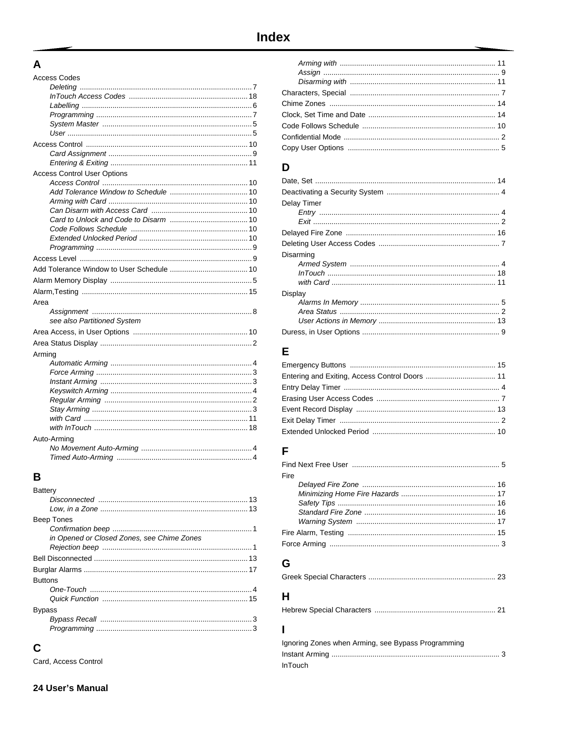# <span id="page-26-0"></span> $A$

| <b>Access Codes</b>                |
|------------------------------------|
|                                    |
|                                    |
|                                    |
|                                    |
|                                    |
|                                    |
|                                    |
|                                    |
|                                    |
| <b>Access Control User Options</b> |
|                                    |
|                                    |
|                                    |
|                                    |
|                                    |
|                                    |
|                                    |
|                                    |
|                                    |
|                                    |
|                                    |
|                                    |
| Area                               |
|                                    |
| see also Partitioned System        |
|                                    |
|                                    |
| Arming                             |
|                                    |
|                                    |
|                                    |
|                                    |
|                                    |
|                                    |
|                                    |
|                                    |
| Auto-Arming                        |
|                                    |
|                                    |

# $\overline{B}$

| 3 |
|---|
|   |
|   |

# $\mathbf C$

Card, Access Control

# D

| Delay Timer |
|-------------|
|             |
|             |
|             |
|             |
| Disarming   |
|             |
|             |
|             |
| Display     |
|             |
|             |
|             |
|             |

# $\mathsf{E}$

# $\mathsf{F}$

| Fire |  |
|------|--|
|      |  |
|      |  |
|      |  |
|      |  |
|      |  |
|      |  |
|      |  |

# $\mathbf G$

|--|--|

# $H$

|--|--|

# $\mathbf{I}$

| Ignoring Zones when Arming, see Bypass Programming |
|----------------------------------------------------|
|                                                    |
| InTouch                                            |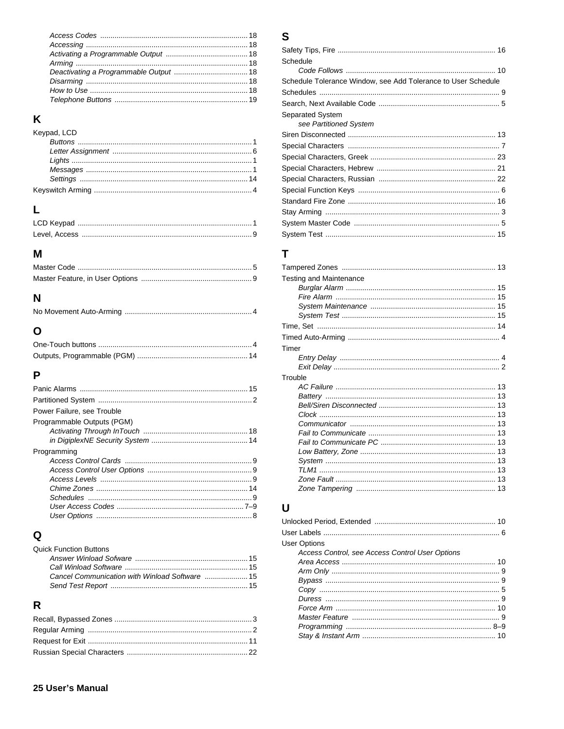# $\mathsf{K}$

| Keypad, LCD |  |
|-------------|--|
|             |  |
|             |  |
|             |  |
|             |  |
|             |  |
|             |  |

# $\mathsf{L}$

# $\mathbf M$

# $\overline{\mathsf{N}}$

# $\mathbf{o}$

# $\mathsf{P}$

# $\mathbf Q$

| <b>Quick Function Buttons</b> |  |
|-------------------------------|--|
|                               |  |
|                               |  |
|                               |  |
|                               |  |

# $\overline{\mathsf{R}}$

# $\mathbf S$

| Schedule                                                      |
|---------------------------------------------------------------|
|                                                               |
| Schedule Tolerance Window, see Add Tolerance to User Schedule |
|                                                               |
|                                                               |
| Separated System<br>see Partitioned System                    |
|                                                               |
|                                                               |
|                                                               |
|                                                               |
|                                                               |
|                                                               |
|                                                               |
|                                                               |
|                                                               |
|                                                               |
|                                                               |

# $\overline{\mathbf{T}}$

| <b>Testing and Maintenance</b> |  |
|--------------------------------|--|
|                                |  |
|                                |  |
|                                |  |
|                                |  |
|                                |  |
|                                |  |
| Timer                          |  |
|                                |  |
|                                |  |
| Trouble                        |  |
|                                |  |
|                                |  |
|                                |  |
|                                |  |
|                                |  |
|                                |  |
|                                |  |
|                                |  |
|                                |  |
|                                |  |
|                                |  |
|                                |  |

# $\overline{\mathsf{U}}$

| <b>User Options</b><br>Access Control, see Access Control User Options |  |
|------------------------------------------------------------------------|--|
|                                                                        |  |
|                                                                        |  |
|                                                                        |  |
|                                                                        |  |
|                                                                        |  |
|                                                                        |  |
|                                                                        |  |
|                                                                        |  |
|                                                                        |  |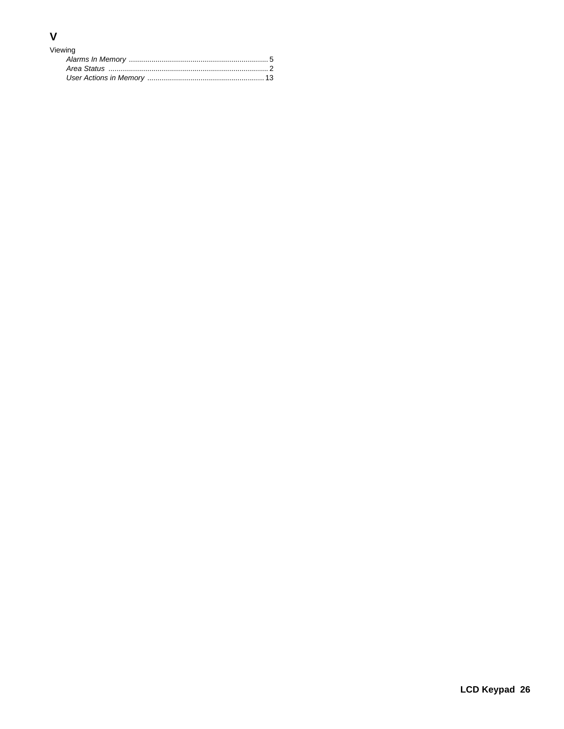# $\mathsf{V}$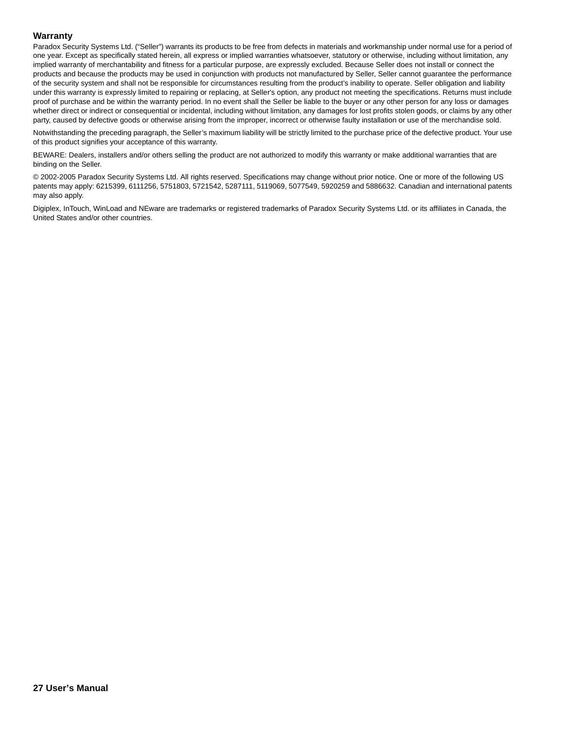#### **Warranty**

Paradox Security Systems Ltd. ("Seller") warrants its products to be free from defects in materials and workmanship under normal use for a period of one year. Except as specifically stated herein, all express or implied warranties whatsoever, statutory or otherwise, including without limitation, any implied warranty of merchantability and fitness for a particular purpose, are expressly excluded. Because Seller does not install or connect the products and because the products may be used in conjunction with products not manufactured by Seller, Seller cannot guarantee the performance of the security system and shall not be responsible for circumstances resulting from the product's inability to operate. Seller obligation and liability under this warranty is expressly limited to repairing or replacing, at Seller's option, any product not meeting the specifications. Returns must include proof of purchase and be within the warranty period. In no event shall the Seller be liable to the buyer or any other person for any loss or damages whether direct or indirect or consequential or incidental, including without limitation, any damages for lost profits stolen goods, or claims by any other party, caused by defective goods or otherwise arising from the improper, incorrect or otherwise faulty installation or use of the merchandise sold.

Notwithstanding the preceding paragraph, the Seller's maximum liability will be strictly limited to the purchase price of the defective product. Your use of this product signifies your acceptance of this warranty.

BEWARE: Dealers, installers and/or others selling the product are not authorized to modify this warranty or make additional warranties that are binding on the Seller.

© 2002-2005 Paradox Security Systems Ltd. All rights reserved. Specifications may change without prior notice. One or more of the following US patents may apply: 6215399, 6111256, 5751803, 5721542, 5287111, 5119069, 5077549, 5920259 and 5886632. Canadian and international patents may also apply.

Digiplex, InTouch, WinLoad and NEware are trademarks or registered trademarks of Paradox Security Systems Ltd. or its affiliates in Canada, the United States and/or other countries.